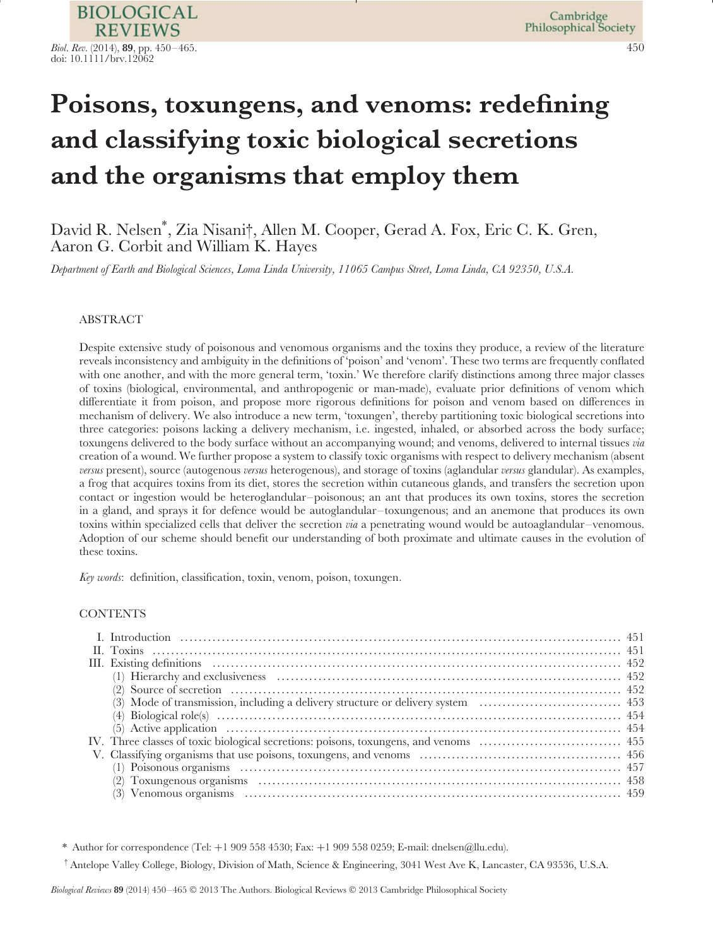

# **Poisons, toxungens, and venoms: redefining and classifying toxic biological secretions and the organisms that employ them**

David R. Nelsen\* , Zia Nisani†, Allen M. Cooper, Gerad A. Fox, Eric C. K. Gren, Aaron G. Corbit and William K. Hayes

*Department of Earth and Biological Sciences, Loma Linda University, 11065 Campus Street, Loma Linda, CA 92350, U.S.A.*

## ABSTRACT

Despite extensive study of poisonous and venomous organisms and the toxins they produce, a review of the literature reveals inconsistency and ambiguity in the definitions of 'poison' and 'venom'. These two terms are frequently conflated with one another, and with the more general term, 'toxin.' We therefore clarify distinctions among three major classes of toxins (biological, environmental, and anthropogenic or man-made), evaluate prior definitions of venom which differentiate it from poison, and propose more rigorous definitions for poison and venom based on differences in mechanism of delivery. We also introduce a new term, 'toxungen', thereby partitioning toxic biological secretions into three categories: poisons lacking a delivery mechanism, i.e. ingested, inhaled, or absorbed across the body surface; toxungens delivered to the body surface without an accompanying wound; and venoms, delivered to internal tissues *via* creation of a wound. We further propose a system to classify toxic organisms with respect to delivery mechanism (absent *versus* present), source (autogenous *versus* heterogenous), and storage of toxins (aglandular *versus* glandular). As examples, a frog that acquires toxins from its diet, stores the secretion within cutaneous glands, and transfers the secretion upon contact or ingestion would be heteroglandular–poisonous; an ant that produces its own toxins, stores the secretion in a gland, and sprays it for defence would be autoglandular–toxungenous; and an anemone that produces its own toxins within specialized cells that deliver the secretion *via* a penetrating wound would be autoaglandular–venomous. Adoption of our scheme should benefit our understanding of both proximate and ultimate causes in the evolution of these toxins.

*Key words*: definition, classification, toxin, venom, poison, toxungen.

## **CONTENTS**

\* Author for correspondence (Tel:  $+1$  909 558 4530; Fax:  $+1$  909 558 0259; E-mail: dnelsen@llu.edu).

† Antelope Valley College, Biology, Division of Math, Science & Engineering, 3041 West Ave K, Lancaster, CA 93536, U.S.A.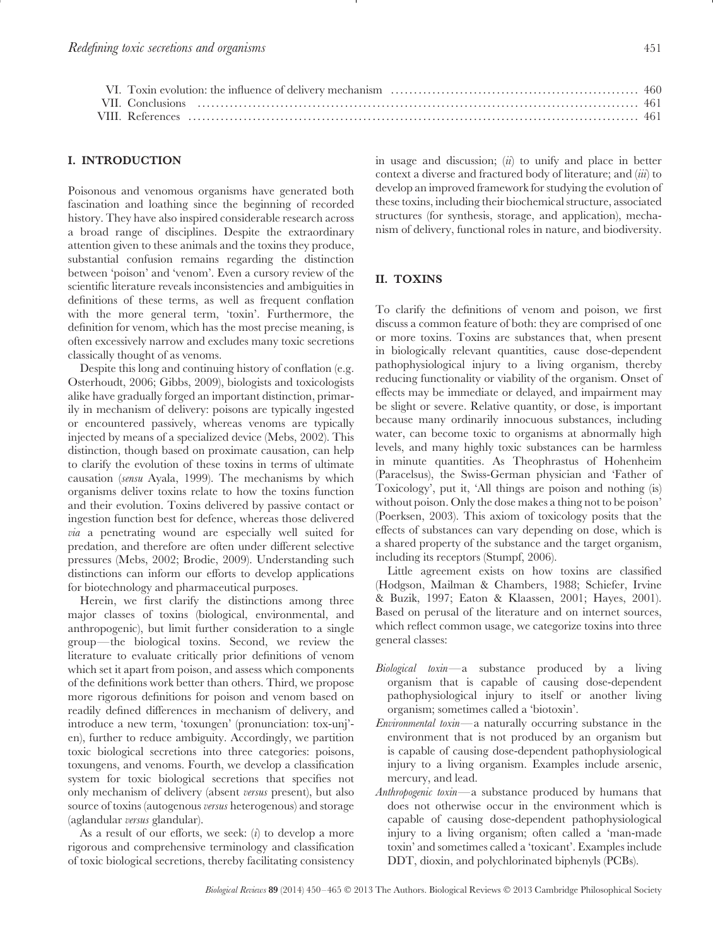#### **I. INTRODUCTION**

Poisonous and venomous organisms have generated both fascination and loathing since the beginning of recorded history. They have also inspired considerable research across a broad range of disciplines. Despite the extraordinary attention given to these animals and the toxins they produce, substantial confusion remains regarding the distinction between 'poison' and 'venom'. Even a cursory review of the scientific literature reveals inconsistencies and ambiguities in definitions of these terms, as well as frequent conflation with the more general term, 'toxin'. Furthermore, the definition for venom, which has the most precise meaning, is often excessively narrow and excludes many toxic secretions classically thought of as venoms.

Despite this long and continuing history of conflation (e.g. Osterhoudt, 2006; Gibbs, 2009), biologists and toxicologists alike have gradually forged an important distinction, primarily in mechanism of delivery: poisons are typically ingested or encountered passively, whereas venoms are typically injected by means of a specialized device (Mebs, 2002). This distinction, though based on proximate causation, can help to clarify the evolution of these toxins in terms of ultimate causation (*sensu* Ayala, 1999). The mechanisms by which organisms deliver toxins relate to how the toxins function and their evolution. Toxins delivered by passive contact or ingestion function best for defence, whereas those delivered *via* a penetrating wound are especially well suited for predation, and therefore are often under different selective pressures (Mebs, 2002; Brodie, 2009). Understanding such distinctions can inform our efforts to develop applications for biotechnology and pharmaceutical purposes.

Herein, we first clarify the distinctions among three major classes of toxins (biological, environmental, and anthropogenic), but limit further consideration to a single group—the biological toxins. Second, we review the literature to evaluate critically prior definitions of venom which set it apart from poison, and assess which components of the definitions work better than others. Third, we propose more rigorous definitions for poison and venom based on readily defined differences in mechanism of delivery, and introduce a new term, 'toxungen' (pronunciation: tox-unj' en), further to reduce ambiguity. Accordingly, we partition toxic biological secretions into three categories: poisons, toxungens, and venoms. Fourth, we develop a classification system for toxic biological secretions that specifies not only mechanism of delivery (absent *versus* present), but also source of toxins (autogenous *versus* heterogenous) and storage (aglandular *versus* glandular).

As a result of our efforts, we seek: (*i*) to develop a more rigorous and comprehensive terminology and classification of toxic biological secretions, thereby facilitating consistency in usage and discussion; (*ii*) to unify and place in better context a diverse and fractured body of literature; and (*iii*) to develop an improved framework for studying the evolution of these toxins, including their biochemical structure, associated structures (for synthesis, storage, and application), mechanism of delivery, functional roles in nature, and biodiversity.

# **II. TOXINS**

To clarify the definitions of venom and poison, we first discuss a common feature of both: they are comprised of one or more toxins. Toxins are substances that, when present in biologically relevant quantities, cause dose-dependent pathophysiological injury to a living organism, thereby reducing functionality or viability of the organism. Onset of effects may be immediate or delayed, and impairment may be slight or severe. Relative quantity, or dose, is important because many ordinarily innocuous substances, including water, can become toxic to organisms at abnormally high levels, and many highly toxic substances can be harmless in minute quantities. As Theophrastus of Hohenheim (Paracelsus), the Swiss-German physician and 'Father of Toxicology', put it, 'All things are poison and nothing (is) without poison. Only the dose makes a thing not to be poison' (Poerksen, 2003). This axiom of toxicology posits that the effects of substances can vary depending on dose, which is a shared property of the substance and the target organism, including its receptors (Stumpf, 2006).

Little agreement exists on how toxins are classified (Hodgson, Mailman & Chambers, 1988; Schiefer, Irvine & Buzik, 1997; Eaton & Klaassen, 2001; Hayes, 2001). Based on perusal of the literature and on internet sources, which reflect common usage, we categorize toxins into three general classes:

- *Biological toxin*—a substance produced by a living organism that is capable of causing dose-dependent pathophysiological injury to itself or another living organism; sometimes called a 'biotoxin'.
- *Environmental toxin*—a naturally occurring substance in the environment that is not produced by an organism but is capable of causing dose-dependent pathophysiological injury to a living organism. Examples include arsenic, mercury, and lead.
- *Anthropogenic toxin*—a substance produced by humans that does not otherwise occur in the environment which is capable of causing dose-dependent pathophysiological injury to a living organism; often called a 'man-made toxin' and sometimes called a 'toxicant'. Examples include DDT, dioxin, and polychlorinated biphenyls (PCBs).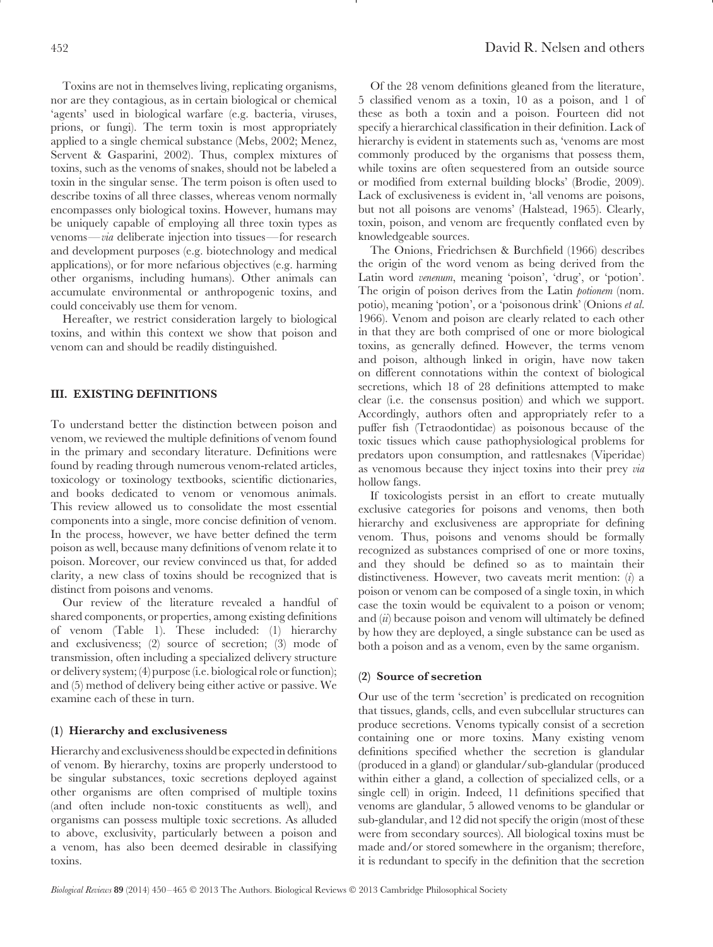Toxins are not in themselves living, replicating organisms, nor are they contagious, as in certain biological or chemical 'agents' used in biological warfare (e.g. bacteria, viruses, prions, or fungi). The term toxin is most appropriately applied to a single chemical substance (Mebs, 2002; Menez, Servent & Gasparini, 2002). Thus, complex mixtures of toxins, such as the venoms of snakes, should not be labeled a toxin in the singular sense. The term poison is often used to describe toxins of all three classes, whereas venom normally encompasses only biological toxins. However, humans may be uniquely capable of employing all three toxin types as venoms—*via* deliberate injection into tissues—for research and development purposes (e.g. biotechnology and medical applications), or for more nefarious objectives (e.g. harming other organisms, including humans). Other animals can accumulate environmental or anthropogenic toxins, and could conceivably use them for venom.

Hereafter, we restrict consideration largely to biological toxins, and within this context we show that poison and venom can and should be readily distinguished.

## **III. EXISTING DEFINITIONS**

To understand better the distinction between poison and venom, we reviewed the multiple definitions of venom found in the primary and secondary literature. Definitions were found by reading through numerous venom-related articles, toxicology or toxinology textbooks, scientific dictionaries, and books dedicated to venom or venomous animals. This review allowed us to consolidate the most essential components into a single, more concise definition of venom. In the process, however, we have better defined the term poison as well, because many definitions of venom relate it to poison. Moreover, our review convinced us that, for added clarity, a new class of toxins should be recognized that is distinct from poisons and venoms.

Our review of the literature revealed a handful of shared components, or properties, among existing definitions of venom (Table 1). These included: (1) hierarchy and exclusiveness; (2) source of secretion; (3) mode of transmission, often including a specialized delivery structure or delivery system; (4) purpose (i.e. biological role or function); and (5) method of delivery being either active or passive. We examine each of these in turn.

### **(1) Hierarchy and exclusiveness**

Hierarchy and exclusiveness should be expected in definitions of venom. By hierarchy, toxins are properly understood to be singular substances, toxic secretions deployed against other organisms are often comprised of multiple toxins (and often include non-toxic constituents as well), and organisms can possess multiple toxic secretions. As alluded to above, exclusivity, particularly between a poison and a venom, has also been deemed desirable in classifying toxins.

Of the 28 venom definitions gleaned from the literature, 5 classified venom as a toxin, 10 as a poison, and 1 of these as both a toxin and a poison. Fourteen did not specify a hierarchical classification in their definition. Lack of hierarchy is evident in statements such as, 'venoms are most commonly produced by the organisms that possess them, while toxins are often sequestered from an outside source or modified from external building blocks' (Brodie, 2009). Lack of exclusiveness is evident in, 'all venoms are poisons, but not all poisons are venoms' (Halstead, 1965). Clearly, toxin, poison, and venom are frequently conflated even by knowledgeable sources.

The Onions, Friedrichsen & Burchfield (1966) describes the origin of the word venom as being derived from the Latin word *venenum*, meaning 'poison', 'drug', or 'potion'. The origin of poison derives from the Latin *potionem* (nom. potio), meaning 'potion', or a 'poisonous drink' (Onions *et al.* 1966). Venom and poison are clearly related to each other in that they are both comprised of one or more biological toxins, as generally defined. However, the terms venom and poison, although linked in origin, have now taken on different connotations within the context of biological secretions, which 18 of 28 definitions attempted to make clear (i.e. the consensus position) and which we support. Accordingly, authors often and appropriately refer to a puffer fish (Tetraodontidae) as poisonous because of the toxic tissues which cause pathophysiological problems for predators upon consumption, and rattlesnakes (Viperidae) as venomous because they inject toxins into their prey *via* hollow fangs.

If toxicologists persist in an effort to create mutually exclusive categories for poisons and venoms, then both hierarchy and exclusiveness are appropriate for defining venom. Thus, poisons and venoms should be formally recognized as substances comprised of one or more toxins, and they should be defined so as to maintain their distinctiveness. However, two caveats merit mention: (*i*) a poison or venom can be composed of a single toxin, in which case the toxin would be equivalent to a poison or venom; and (*ii*) because poison and venom will ultimately be defined by how they are deployed, a single substance can be used as both a poison and as a venom, even by the same organism.

#### **(2) Source of secretion**

Our use of the term 'secretion' is predicated on recognition that tissues, glands, cells, and even subcellular structures can produce secretions. Venoms typically consist of a secretion containing one or more toxins. Many existing venom definitions specified whether the secretion is glandular (produced in a gland) or glandular/sub-glandular (produced within either a gland, a collection of specialized cells, or a single cell) in origin. Indeed, 11 definitions specified that venoms are glandular, 5 allowed venoms to be glandular or sub-glandular, and 12 did not specify the origin (most of these were from secondary sources). All biological toxins must be made and/or stored somewhere in the organism; therefore, it is redundant to specify in the definition that the secretion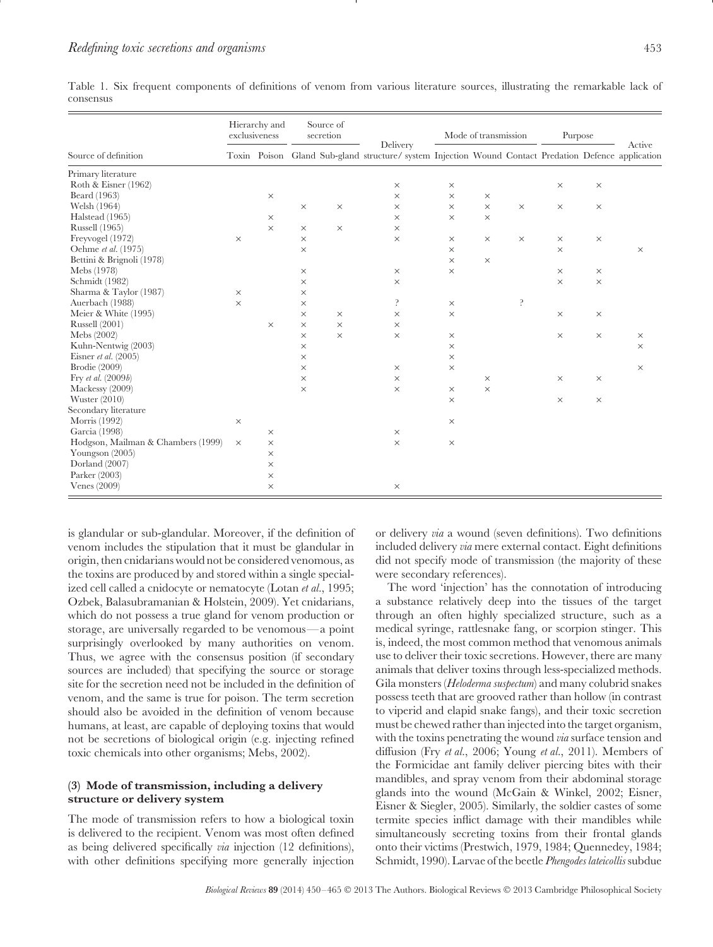|           |  | Table 1. Six frequent components of definitions of venom from various literature sources, illustrating the remarkable lack of |  |  |  |  |  |  |  |
|-----------|--|-------------------------------------------------------------------------------------------------------------------------------|--|--|--|--|--|--|--|
| consensus |  |                                                                                                                               |  |  |  |  |  |  |  |

|                                    | Hierarchy and<br>exclusiveness |          | Source of<br>secretion |          | Delivery                                                                                            | Mode of transmission |          |          | Purpose  |          |          |
|------------------------------------|--------------------------------|----------|------------------------|----------|-----------------------------------------------------------------------------------------------------|----------------------|----------|----------|----------|----------|----------|
| Source of definition               |                                |          |                        |          | Toxin Poison Gland Sub-gland structure/system Injection Wound Contact Predation Defence application |                      |          |          |          |          | Active   |
| Primary literature                 |                                |          |                        |          |                                                                                                     |                      |          |          |          |          |          |
| Roth & Eisner (1962)               |                                |          |                        |          | $\times$                                                                                            | $\times$             |          |          | $\times$ | $\times$ |          |
| Beard (1963)                       |                                | $\times$ |                        |          | X                                                                                                   | $\times$             | $\times$ |          |          |          |          |
| Welsh (1964)                       |                                |          | $\times$               | $\times$ | X                                                                                                   | $\times$             | $\times$ | $\times$ | $\times$ | $\times$ |          |
| Halstead (1965)                    |                                | $\times$ |                        |          | $\times$                                                                                            | $\times$             | $\times$ |          |          |          |          |
| <b>Russell</b> (1965)              |                                | $\times$ | $\times$               | $\times$ | $\times$                                                                                            |                      |          |          |          |          |          |
| Freyvogel (1972)                   | $\times$                       |          | $\times$               |          | $\times$                                                                                            | $\times$             | $\times$ | $\times$ | $\times$ | $\times$ |          |
| Oehme et al. (1975)                |                                |          | $\times$               |          |                                                                                                     | $\times$             |          |          | $\times$ |          | $\times$ |
| Bettini & Brignoli (1978)          |                                |          |                        |          |                                                                                                     | $\times$             | $\times$ |          |          |          |          |
| Mebs (1978)                        |                                |          | $\times$               |          | $\times$                                                                                            | $\times$             |          |          | ×        | $\times$ |          |
| Schmidt (1982)                     |                                |          | $\times$               |          | X                                                                                                   |                      |          |          | $\times$ | $\times$ |          |
| Sharma & Taylor (1987)             | $\times$                       |          | $\times$               |          |                                                                                                     |                      |          |          |          |          |          |
| Auerbach (1988)                    | $\times$                       |          | $\times$               |          | $\cdot$                                                                                             | $\times$             |          | p.       |          |          |          |
| Meier & White (1995)               |                                |          | $\times$               | $\times$ | $\times$                                                                                            | $\times$             |          |          | ×        | $\times$ |          |
| Russell (2001)                     |                                | $\times$ | $\times$               | $\times$ | X                                                                                                   |                      |          |          |          |          |          |
| Mebs (2002)                        |                                |          | $\times$               | $\times$ | X                                                                                                   | $\times$             |          |          | $\times$ | $\times$ | $\times$ |
| Kuhn-Nentwig (2003)                |                                |          | $\times$               |          |                                                                                                     | $\times$             |          |          |          |          | $\times$ |
| Eisner et al. $(2005)$             |                                |          | $\times$               |          |                                                                                                     | $\times$             |          |          |          |          |          |
| Brodie $(2009)$                    |                                |          | $\times$               |          | $\times$                                                                                            | $\times$             |          |          |          |          | $\times$ |
| Fry et al. (2009b)                 |                                |          | $\times$               |          | $\times$                                                                                            |                      | $\times$ |          | $\times$ | $\times$ |          |
| Mackessy (2009)                    |                                |          | $\times$               |          | $\times$                                                                                            | $\times$             | $\times$ |          |          |          |          |
| Wuster $(2010)$                    |                                |          |                        |          |                                                                                                     | $\times$             |          |          | $\times$ | $\times$ |          |
| Secondary literature               |                                |          |                        |          |                                                                                                     |                      |          |          |          |          |          |
| Morris (1992)                      | $\times$                       |          |                        |          |                                                                                                     | $\times$             |          |          |          |          |          |
| Garcia (1998)                      |                                | $\times$ |                        |          | X                                                                                                   |                      |          |          |          |          |          |
| Hodgson, Mailman & Chambers (1999) | $\times$                       | $\times$ |                        |          | $\times$                                                                                            | $\times$             |          |          |          |          |          |
| Youngson (2005)                    |                                | $\times$ |                        |          |                                                                                                     |                      |          |          |          |          |          |
| Dorland (2007)                     |                                | $\times$ |                        |          |                                                                                                     |                      |          |          |          |          |          |
| Parker (2003)                      |                                | $\times$ |                        |          |                                                                                                     |                      |          |          |          |          |          |
| Venes (2009)                       |                                | $\times$ |                        |          | X                                                                                                   |                      |          |          |          |          |          |

is glandular or sub-glandular. Moreover, if the definition of venom includes the stipulation that it must be glandular in origin, then cnidarians would not be considered venomous, as the toxins are produced by and stored within a single specialized cell called a cnidocyte or nematocyte (Lotan *et al.*, 1995; Ozbek, Balasubramanian & Holstein, 2009). Yet cnidarians, which do not possess a true gland for venom production or storage, are universally regarded to be venomous—a point surprisingly overlooked by many authorities on venom. Thus, we agree with the consensus position (if secondary sources are included) that specifying the source or storage site for the secretion need not be included in the definition of venom, and the same is true for poison. The term secretion should also be avoided in the definition of venom because humans, at least, are capable of deploying toxins that would not be secretions of biological origin (e.g. injecting refined toxic chemicals into other organisms; Mebs, 2002).

# **(3) Mode of transmission, including a delivery structure or delivery system**

The mode of transmission refers to how a biological toxin is delivered to the recipient. Venom was most often defined as being delivered specifically *via* injection (12 definitions), with other definitions specifying more generally injection or delivery *via* a wound (seven definitions). Two definitions included delivery *via* mere external contact. Eight definitions did not specify mode of transmission (the majority of these were secondary references).

The word 'injection' has the connotation of introducing a substance relatively deep into the tissues of the target through an often highly specialized structure, such as a medical syringe, rattlesnake fang, or scorpion stinger. This is, indeed, the most common method that venomous animals use to deliver their toxic secretions. However, there are many animals that deliver toxins through less-specialized methods. Gila monsters (*Heloderma suspectum*) and many colubrid snakes possess teeth that are grooved rather than hollow (in contrast to viperid and elapid snake fangs), and their toxic secretion must be chewed rather than injected into the target organism, with the toxins penetrating the wound *via* surface tension and diffusion (Fry *et al.*, 2006; Young *et al.*, 2011). Members of the Formicidae ant family deliver piercing bites with their mandibles, and spray venom from their abdominal storage glands into the wound (McGain & Winkel, 2002; Eisner, Eisner & Siegler, 2005). Similarly, the soldier castes of some termite species inflict damage with their mandibles while simultaneously secreting toxins from their frontal glands onto their victims (Prestwich, 1979, 1984; Quennedey, 1984; Schmidt, 1990). Larvae of the beetle *Phengodes lateicollis* subdue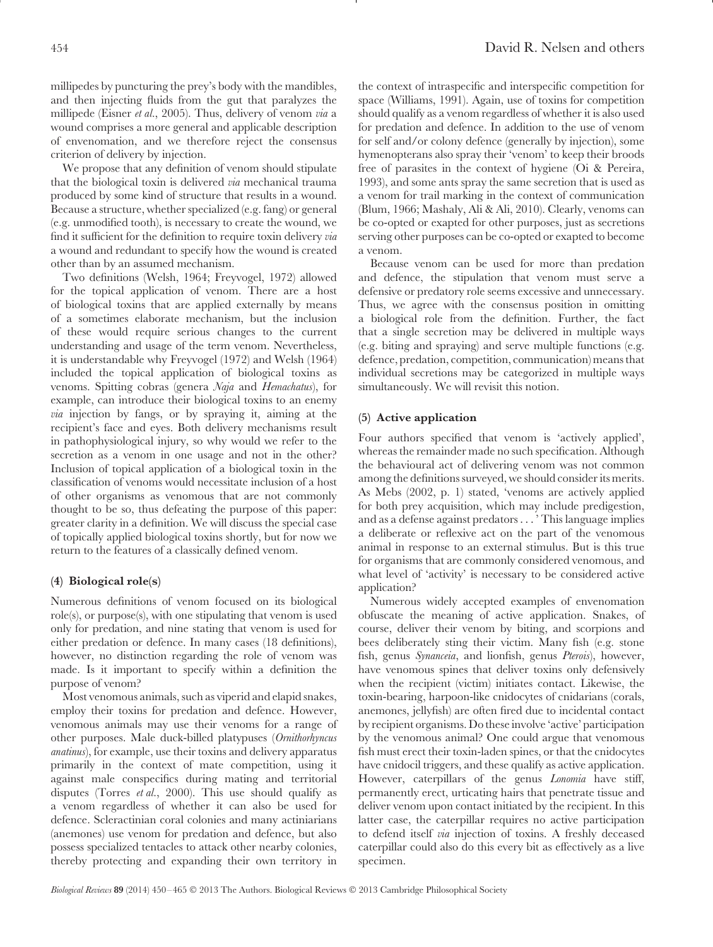millipedes by puncturing the prey's body with the mandibles, and then injecting fluids from the gut that paralyzes the millipede (Eisner *et al.*, 2005). Thus, delivery of venom *via* a wound comprises a more general and applicable description of envenomation, and we therefore reject the consensus criterion of delivery by injection.

We propose that any definition of venom should stipulate that the biological toxin is delivered *via* mechanical trauma produced by some kind of structure that results in a wound. Because a structure, whether specialized (e.g. fang) or general (e.g. unmodified tooth), is necessary to create the wound, we find it sufficient for the definition to require toxin delivery *via* a wound and redundant to specify how the wound is created other than by an assumed mechanism.

Two definitions (Welsh, 1964; Freyvogel, 1972) allowed for the topical application of venom. There are a host of biological toxins that are applied externally by means of a sometimes elaborate mechanism, but the inclusion of these would require serious changes to the current understanding and usage of the term venom. Nevertheless, it is understandable why Freyvogel (1972) and Welsh (1964) included the topical application of biological toxins as venoms. Spitting cobras (genera *Naja* and *Hemachatus*), for example, can introduce their biological toxins to an enemy *via* injection by fangs, or by spraying it, aiming at the recipient's face and eyes. Both delivery mechanisms result in pathophysiological injury, so why would we refer to the secretion as a venom in one usage and not in the other? Inclusion of topical application of a biological toxin in the classification of venoms would necessitate inclusion of a host of other organisms as venomous that are not commonly thought to be so, thus defeating the purpose of this paper: greater clarity in a definition. We will discuss the special case of topically applied biological toxins shortly, but for now we return to the features of a classically defined venom.

# **(4) Biological role(s)**

Numerous definitions of venom focused on its biological role(s), or purpose(s), with one stipulating that venom is used only for predation, and nine stating that venom is used for either predation or defence. In many cases (18 definitions), however, no distinction regarding the role of venom was made. Is it important to specify within a definition the purpose of venom?

Most venomous animals, such as viperid and elapid snakes, employ their toxins for predation and defence. However, venomous animals may use their venoms for a range of other purposes. Male duck-billed platypuses (*Ornithorhyncus anatinus*), for example, use their toxins and delivery apparatus primarily in the context of mate competition, using it against male conspecifics during mating and territorial disputes (Torres *et al.*, 2000). This use should qualify as a venom regardless of whether it can also be used for defence. Scleractinian coral colonies and many actiniarians (anemones) use venom for predation and defence, but also possess specialized tentacles to attack other nearby colonies, thereby protecting and expanding their own territory in

the context of intraspecific and interspecific competition for space (Williams, 1991). Again, use of toxins for competition should qualify as a venom regardless of whether it is also used for predation and defence. In addition to the use of venom for self and/or colony defence (generally by injection), some hymenopterans also spray their 'venom' to keep their broods free of parasites in the context of hygiene (Oi & Pereira, 1993), and some ants spray the same secretion that is used as a venom for trail marking in the context of communication (Blum, 1966; Mashaly, Ali & Ali, 2010). Clearly, venoms can be co-opted or exapted for other purposes, just as secretions serving other purposes can be co-opted or exapted to become a venom.

Because venom can be used for more than predation and defence, the stipulation that venom must serve a defensive or predatory role seems excessive and unnecessary. Thus, we agree with the consensus position in omitting a biological role from the definition. Further, the fact that a single secretion may be delivered in multiple ways (e.g. biting and spraying) and serve multiple functions (e.g. defence, predation, competition, communication) means that individual secretions may be categorized in multiple ways simultaneously. We will revisit this notion.

## **(5) Active application**

Four authors specified that venom is 'actively applied', whereas the remainder made no such specification. Although the behavioural act of delivering venom was not common among the definitions surveyed, we should consider its merits. As Mebs (2002, p. 1) stated, 'venoms are actively applied for both prey acquisition, which may include predigestion, and as a defense against predators*...* ' This language implies a deliberate or reflexive act on the part of the venomous animal in response to an external stimulus. But is this true for organisms that are commonly considered venomous, and what level of 'activity' is necessary to be considered active application?

Numerous widely accepted examples of envenomation obfuscate the meaning of active application. Snakes, of course, deliver their venom by biting, and scorpions and bees deliberately sting their victim. Many fish (e.g. stone fish, genus *Synanceia*, and lionfish, genus *Pterois*), however, have venomous spines that deliver toxins only defensively when the recipient (victim) initiates contact. Likewise, the toxin-bearing, harpoon-like cnidocytes of cnidarians (corals, anemones, jellyfish) are often fired due to incidental contact by recipient organisms. Do these involve 'active' participation by the venomous animal? One could argue that venomous fish must erect their toxin-laden spines, or that the cnidocytes have cnidocil triggers, and these qualify as active application. However, caterpillars of the genus *Lonomia* have stiff, permanently erect, urticating hairs that penetrate tissue and deliver venom upon contact initiated by the recipient. In this latter case, the caterpillar requires no active participation to defend itself *via* injection of toxins. A freshly deceased caterpillar could also do this every bit as effectively as a live specimen.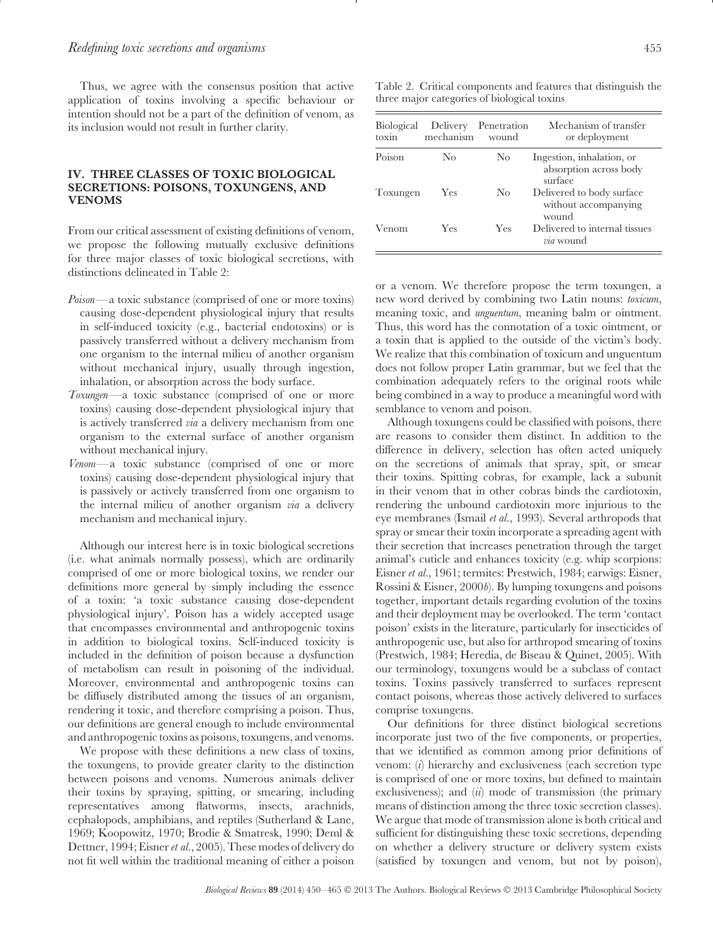Thus, we agree with the consensus position that active application of toxins involving a specific behaviour or intention should not be a part of the definition of venom, as its inclusion would not result in further clarity.

# **IV. THREE CLASSES OF TOXIC BIOLOGICAL SECRETIONS: POISONS, TOXUNGENS, AND VENOMS**

From our critical assessment of existing definitions of venom, we propose the following mutually exclusive definitions for three major classes of toxic biological secretions, with distinctions delineated in Table 2:

- *Poison*—a toxic substance (comprised of one or more toxins) causing dose-dependent physiological injury that results in self-induced toxicity (e.g., bacterial endotoxins) or is passively transferred without a delivery mechanism from one organism to the internal milieu of another organism without mechanical injury, usually through ingestion, inhalation, or absorption across the body surface.
- *Toxungen*—a toxic substance (comprised of one or more toxins) causing dose-dependent physiological injury that is actively transferred *via* a delivery mechanism from one organism to the external surface of another organism without mechanical injury.
- *Venom*—a toxic substance (comprised of one or more toxins) causing dose-dependent physiological injury that is passively or actively transferred from one organism to the internal milieu of another organism *via* a delivery mechanism and mechanical injury.

Although our interest here is in toxic biological secretions (i.e. what animals normally possess), which are ordinarily comprised of one or more biological toxins, we render our definitions more general by simply including the essence of a toxin: 'a toxic substance causing dose-dependent physiological injury'. Poison has a widely accepted usage that encompasses environmental and anthropogenic toxins in addition to biological toxins. Self-induced toxicity is included in the definition of poison because a dysfunction of metabolism can result in poisoning of the individual. Moreover, environmental and anthropogenic toxins can be diffusely distributed among the tissues of an organism, rendering it toxic, and therefore comprising a poison. Thus, our definitions are general enough to include environmental and anthropogenic toxins as poisons, toxungens, and venoms.

We propose with these definitions a new class of toxins, the toxungens, to provide greater clarity to the distinction between poisons and venoms. Numerous animals deliver their toxins by spraying, spitting, or smearing, including representatives among flatworms, insects, arachnids, cephalopods, amphibians, and reptiles (Sutherland & Lane, 1969; Koopowitz, 1970; Brodie & Smatresk, 1990; Deml & Dettner, 1994; Eisner*et al.*, 2005). These modes of delivery do not fit well within the traditional meaning of either a poison

| <b>Biological</b><br>toxin | Delivery<br>mechanism | Penetration<br>wound | Mechanism of transfer<br>or deployment                         |
|----------------------------|-----------------------|----------------------|----------------------------------------------------------------|
| Poison                     | No                    | No                   | Ingestion, inhalation, or<br>absorption across body<br>surface |
| Toxungen                   | Yes                   | No                   | Delivered to body surface<br>without accompanying<br>wound     |
| Venom                      | Yes                   | Yes                  | Delivered to internal tissues<br>via wound                     |

or a venom. We therefore propose the term toxungen, a new word derived by combining two Latin nouns: *toxicum*, meaning toxic, and *unguentum*, meaning balm or ointment. Thus, this word has the connotation of a toxic ointment, or a toxin that is applied to the outside of the victim's body. We realize that this combination of toxicum and unguentum does not follow proper Latin grammar, but we feel that the combination adequately refers to the original roots while being combined in a way to produce a meaningful word with semblance to venom and poison.

Although toxungens could be classified with poisons, there are reasons to consider them distinct. In addition to the difference in delivery, selection has often acted uniquely on the secretions of animals that spray, spit, or smear their toxins. Spitting cobras, for example, lack a subunit in their venom that in other cobras binds the cardiotoxin, rendering the unbound cardiotoxin more injurious to the eye membranes (Ismail *et al.*, 1993). Several arthropods that spray or smear their toxin incorporate a spreading agent with their secretion that increases penetration through the target animal's cuticle and enhances toxicity (e.g. whip scorpions: Eisner *et al.*, 1961; termites: Prestwich, 1984; earwigs: Eisner, Rossini & Eisner, 2000*b*). By lumping toxungens and poisons together, important details regarding evolution of the toxins and their deployment may be overlooked. The term 'contact poison' exists in the literature, particularly for insecticides of anthropogenic use, but also for arthropod smearing of toxins (Prestwich, 1984; Heredia, de Biseau & Quinet, 2005). With our terminology, toxungens would be a subclass of contact toxins. Toxins passively transferred to surfaces represent contact poisons, whereas those actively delivered to surfaces comprise toxungens.

Our definitions for three distinct biological secretions incorporate just two of the five components, or properties, that we identified as common among prior definitions of venom: (*i*) hierarchy and exclusiveness (each secretion type is comprised of one or more toxins, but defined to maintain exclusiveness); and (*ii*) mode of transmission (the primary means of distinction among the three toxic secretion classes). We argue that mode of transmission alone is both critical and sufficient for distinguishing these toxic secretions, depending on whether a delivery structure or delivery system exists (satisfied by toxungen and venom, but not by poison),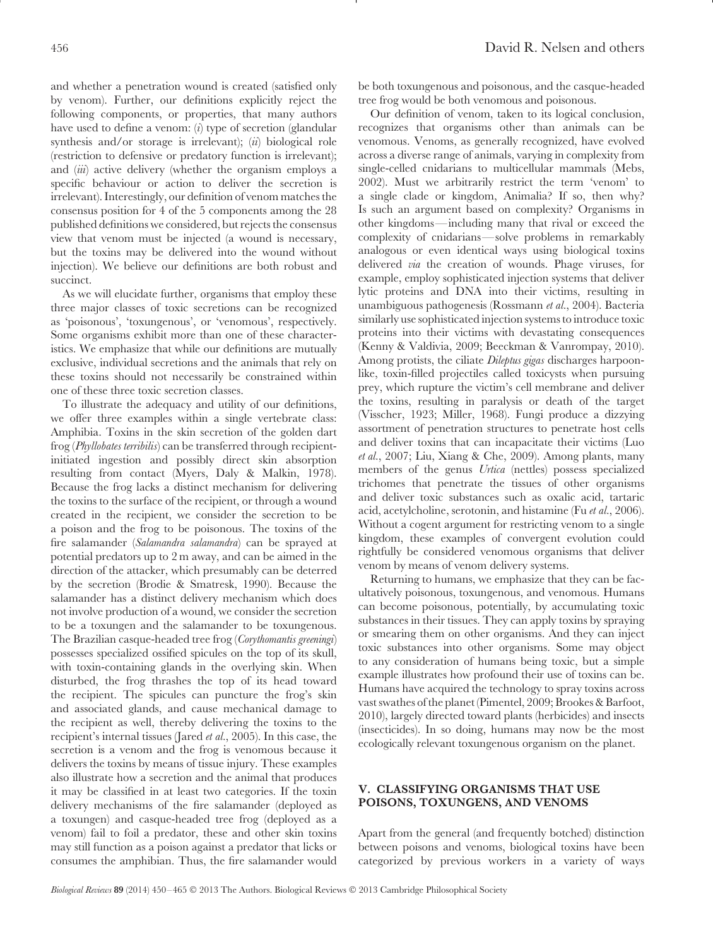and whether a penetration wound is created (satisfied only by venom). Further, our definitions explicitly reject the following components, or properties, that many authors have used to define a venom: (*i*) type of secretion (glandular synthesis and/or storage is irrelevant); (*ii*) biological role (restriction to defensive or predatory function is irrelevant); and (*iii*) active delivery (whether the organism employs a specific behaviour or action to deliver the secretion is irrelevant). Interestingly, our definition of venom matches the consensus position for 4 of the 5 components among the 28 published definitions we considered, but rejects the consensus view that venom must be injected (a wound is necessary, but the toxins may be delivered into the wound without injection). We believe our definitions are both robust and succinct.

As we will elucidate further, organisms that employ these three major classes of toxic secretions can be recognized as 'poisonous', 'toxungenous', or 'venomous', respectively. Some organisms exhibit more than one of these characteristics. We emphasize that while our definitions are mutually exclusive, individual secretions and the animals that rely on these toxins should not necessarily be constrained within one of these three toxic secretion classes.

To illustrate the adequacy and utility of our definitions, we offer three examples within a single vertebrate class: Amphibia. Toxins in the skin secretion of the golden dart frog (*Phyllobates terribilis*) can be transferred through recipientinitiated ingestion and possibly direct skin absorption resulting from contact (Myers, Daly & Malkin, 1978). Because the frog lacks a distinct mechanism for delivering the toxins to the surface of the recipient, or through a wound created in the recipient, we consider the secretion to be a poison and the frog to be poisonous. The toxins of the fire salamander (*Salamandra salamandra*) can be sprayed at potential predators up to 2 m away, and can be aimed in the direction of the attacker, which presumably can be deterred by the secretion (Brodie & Smatresk, 1990). Because the salamander has a distinct delivery mechanism which does not involve production of a wound, we consider the secretion to be a toxungen and the salamander to be toxungenous. The Brazilian casque-headed tree frog (*Corythomantis greeningi*) possesses specialized ossified spicules on the top of its skull, with toxin-containing glands in the overlying skin. When disturbed, the frog thrashes the top of its head toward the recipient. The spicules can puncture the frog's skin and associated glands, and cause mechanical damage to the recipient as well, thereby delivering the toxins to the recipient's internal tissues (Jared *et al.*, 2005). In this case, the secretion is a venom and the frog is venomous because it delivers the toxins by means of tissue injury. These examples also illustrate how a secretion and the animal that produces it may be classified in at least two categories. If the toxin delivery mechanisms of the fire salamander (deployed as a toxungen) and casque-headed tree frog (deployed as a venom) fail to foil a predator, these and other skin toxins may still function as a poison against a predator that licks or consumes the amphibian. Thus, the fire salamander would

be both toxungenous and poisonous, and the casque-headed tree frog would be both venomous and poisonous.

Our definition of venom, taken to its logical conclusion, recognizes that organisms other than animals can be venomous. Venoms, as generally recognized, have evolved across a diverse range of animals, varying in complexity from single-celled cnidarians to multicellular mammals (Mebs, 2002). Must we arbitrarily restrict the term 'venom' to a single clade or kingdom, Animalia? If so, then why? Is such an argument based on complexity? Organisms in other kingdoms—including many that rival or exceed the complexity of cnidarians—solve problems in remarkably analogous or even identical ways using biological toxins delivered *via* the creation of wounds. Phage viruses, for example, employ sophisticated injection systems that deliver lytic proteins and DNA into their victims, resulting in unambiguous pathogenesis (Rossmann *et al.*, 2004). Bacteria similarly use sophisticated injection systems to introduce toxic proteins into their victims with devastating consequences (Kenny & Valdivia, 2009; Beeckman & Vanrompay, 2010). Among protists, the ciliate *Dileptus gigas* discharges harpoonlike, toxin-filled projectiles called toxicysts when pursuing prey, which rupture the victim's cell membrane and deliver the toxins, resulting in paralysis or death of the target (Visscher, 1923; Miller, 1968). Fungi produce a dizzying assortment of penetration structures to penetrate host cells and deliver toxins that can incapacitate their victims (Luo *et al.*, 2007; Liu, Xiang & Che, 2009). Among plants, many members of the genus *Urtica* (nettles) possess specialized trichomes that penetrate the tissues of other organisms and deliver toxic substances such as oxalic acid, tartaric acid, acetylcholine, serotonin, and histamine (Fu *et al.*, 2006). Without a cogent argument for restricting venom to a single kingdom, these examples of convergent evolution could rightfully be considered venomous organisms that deliver venom by means of venom delivery systems.

Returning to humans, we emphasize that they can be facultatively poisonous, toxungenous, and venomous. Humans can become poisonous, potentially, by accumulating toxic substances in their tissues. They can apply toxins by spraying or smearing them on other organisms. And they can inject toxic substances into other organisms. Some may object to any consideration of humans being toxic, but a simple example illustrates how profound their use of toxins can be. Humans have acquired the technology to spray toxins across vast swathes of the planet (Pimentel, 2009; Brookes & Barfoot, 2010), largely directed toward plants (herbicides) and insects (insecticides). In so doing, humans may now be the most ecologically relevant toxungenous organism on the planet.

# **V. CLASSIFYING ORGANISMS THAT USE POISONS, TOXUNGENS, AND VENOMS**

Apart from the general (and frequently botched) distinction between poisons and venoms, biological toxins have been categorized by previous workers in a variety of ways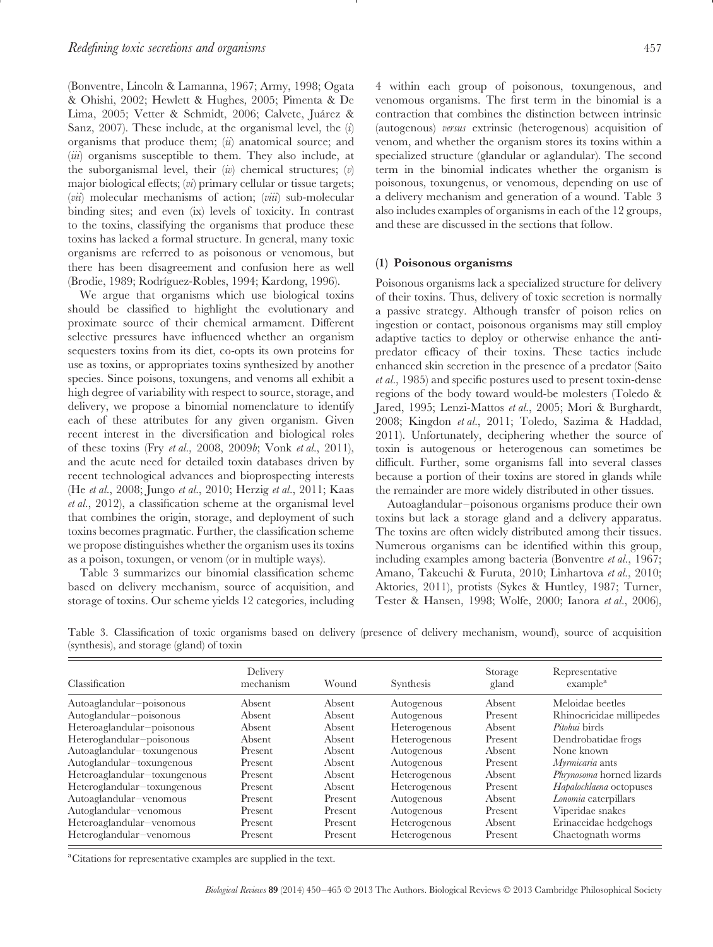(Bonventre, Lincoln & Lamanna, 1967; Army, 1998; Ogata & Ohishi, 2002; Hewlett & Hughes, 2005; Pimenta & De Lima, 2005; Vetter & Schmidt, 2006; Calvete, Juárez & Sanz, 2007). These include, at the organismal level, the (*i*) organisms that produce them; (*ii*) anatomical source; and (*iii*) organisms susceptible to them. They also include, at the suborganismal level, their (*iv*) chemical structures; (*v*) major biological effects; (*vi*) primary cellular or tissue targets; (*vii*) molecular mechanisms of action; (*viii*) sub-molecular binding sites; and even (ix) levels of toxicity. In contrast to the toxins, classifying the organisms that produce these toxins has lacked a formal structure. In general, many toxic organisms are referred to as poisonous or venomous, but there has been disagreement and confusion here as well (Brodie, 1989; Rodríguez-Robles, 1994; Kardong, 1996).

We argue that organisms which use biological toxins should be classified to highlight the evolutionary and proximate source of their chemical armament. Different selective pressures have influenced whether an organism sequesters toxins from its diet, co-opts its own proteins for use as toxins, or appropriates toxins synthesized by another species. Since poisons, toxungens, and venoms all exhibit a high degree of variability with respect to source, storage, and delivery, we propose a binomial nomenclature to identify each of these attributes for any given organism. Given recent interest in the diversification and biological roles of these toxins (Fry *et al.*, 2008, 2009*b*; Vonk *et al.*, 2011), and the acute need for detailed toxin databases driven by recent technological advances and bioprospecting interests (He *et al.*, 2008; Jungo *et al.*, 2010; Herzig *et al.*, 2011; Kaas *et al.*, 2012), a classification scheme at the organismal level that combines the origin, storage, and deployment of such toxins becomes pragmatic. Further, the classification scheme we propose distinguishes whether the organism uses its toxins as a poison, toxungen, or venom (or in multiple ways).

Table 3 summarizes our binomial classification scheme based on delivery mechanism, source of acquisition, and storage of toxins. Our scheme yields 12 categories, including 4 within each group of poisonous, toxungenous, and venomous organisms. The first term in the binomial is a contraction that combines the distinction between intrinsic (autogenous) *versus* extrinsic (heterogenous) acquisition of venom, and whether the organism stores its toxins within a specialized structure (glandular or aglandular). The second term in the binomial indicates whether the organism is poisonous, toxungenus, or venomous, depending on use of a delivery mechanism and generation of a wound. Table 3 also includes examples of organisms in each of the 12 groups, and these are discussed in the sections that follow.

#### **(1) Poisonous organisms**

Poisonous organisms lack a specialized structure for delivery of their toxins. Thus, delivery of toxic secretion is normally a passive strategy. Although transfer of poison relies on ingestion or contact, poisonous organisms may still employ adaptive tactics to deploy or otherwise enhance the antipredator efficacy of their toxins. These tactics include enhanced skin secretion in the presence of a predator (Saito *et al.*, 1985) and specific postures used to present toxin-dense regions of the body toward would-be molesters (Toledo & Jared, 1995; Lenzi-Mattos *et al.*, 2005; Mori & Burghardt, 2008; Kingdon *et al.*, 2011; Toledo, Sazima & Haddad, 2011). Unfortunately, deciphering whether the source of toxin is autogenous or heterogenous can sometimes be difficult. Further, some organisms fall into several classes because a portion of their toxins are stored in glands while the remainder are more widely distributed in other tissues.

Autoaglandular–poisonous organisms produce their own toxins but lack a storage gland and a delivery apparatus. The toxins are often widely distributed among their tissues. Numerous organisms can be identified within this group, including examples among bacteria (Bonventre *et al.*, 1967; Amano, Takeuchi & Furuta, 2010; Linhartova *et al.*, 2010; Aktories, 2011), protists (Sykes & Huntley, 1987; Turner, Tester & Hansen, 1998; Wolfe, 2000; Ianora *et al.*, 2006),

Table 3. Classification of toxic organisms based on delivery (presence of delivery mechanism, wound), source of acquisition (synthesis), and storage (gland) of toxin

| Classification               | Delivery<br>mechanism | Wound   | <b>Synthesis</b> | Storage<br>gland | Representative<br>example <sup>a</sup> |
|------------------------------|-----------------------|---------|------------------|------------------|----------------------------------------|
| Autoaglandular-poisonous     | Absent                | Absent  | Autogenous       | Absent           | Meloidae beetles                       |
| Autoglandular-poisonous      | Absent                | Absent  | Autogenous       | Present          | Rhinocricidae millipedes               |
| Heteroaglandular-poisonous   | Absent                | Absent  | Heterogenous     | Absent           | <i>Pitohui</i> birds                   |
| Heteroglandular-poisonous    | Absent                | Absent  | Heterogenous     | Present          | Dendrobatidae frogs                    |
| Autoaglandular-toxungenous   | Present               | Absent  | Autogenous       | Absent           | None known                             |
| Autoglandular-toxungenous    | Present               | Absent  | Autogenous       | Present          | Myrmicaria ants                        |
| Heteroaglandular-toxungenous | Present               | Absent  | Heterogenous     | Absent           | Phrynosoma horned lizards              |
| Heteroglandular-toxungenous  | Present               | Absent  | Heterogenous     | Present          | Hapalochlaena octopuses                |
| Autoaglandular-venomous      | Present               | Present | Autogenous       | Absent           | <i>Lonomia</i> caterpillars            |
| Autoglandular-venomous       | Present               | Present | Autogenous       | Present          | Viperidae snakes                       |
| Heteroaglandular-venomous    | Present               | Present | Heterogenous     | Absent           | Erinaceidae hedgehogs                  |
| Heteroglandular-venomous     | Present               | Present | Heterogenous     | Present          | Chaetognath worms                      |

aCitations for representative examples are supplied in the text.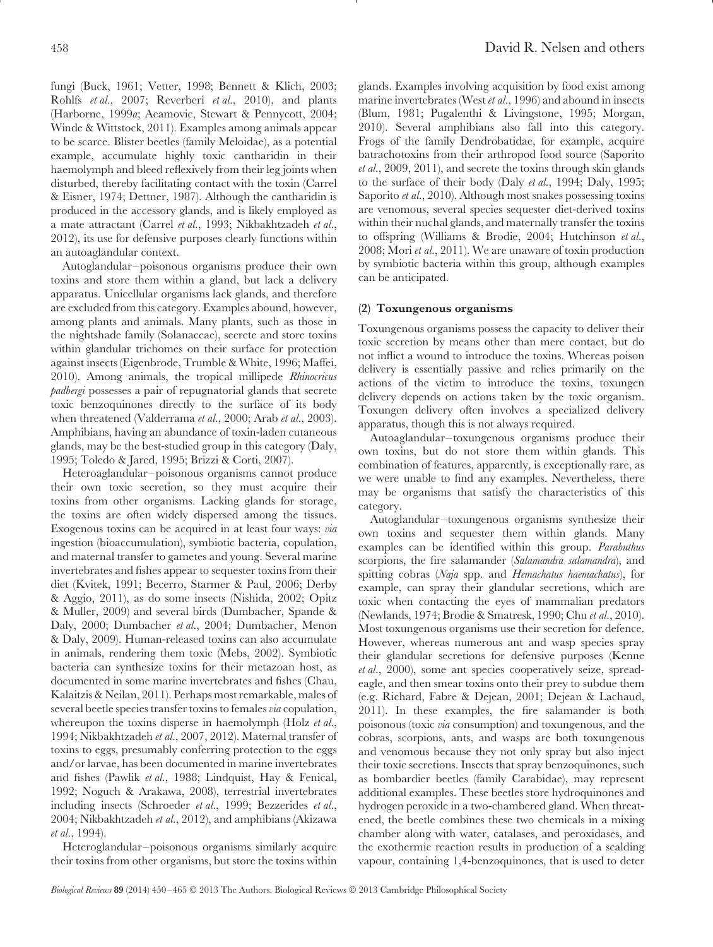fungi (Buck, 1961; Vetter, 1998; Bennett & Klich, 2003; Rohlfs *et al.*, 2007; Reverberi *et al.*, 2010), and plants (Harborne, 1999*a*; Acamovic, Stewart & Pennycott, 2004; Winde & Wittstock, 2011). Examples among animals appear to be scarce. Blister beetles (family Meloidae), as a potential example, accumulate highly toxic cantharidin in their haemolymph and bleed reflexively from their leg joints when disturbed, thereby facilitating contact with the toxin (Carrel & Eisner, 1974; Dettner, 1987). Although the cantharidin is produced in the accessory glands, and is likely employed as a mate attractant (Carrel *et al.*, 1993; Nikbakhtzadeh *et al.*, 2012), its use for defensive purposes clearly functions within an autoaglandular context.

Autoglandular–poisonous organisms produce their own toxins and store them within a gland, but lack a delivery apparatus. Unicellular organisms lack glands, and therefore are excluded from this category. Examples abound, however, among plants and animals. Many plants, such as those in the nightshade family (Solanaceae), secrete and store toxins within glandular trichomes on their surface for protection against insects (Eigenbrode, Trumble & White, 1996; Maffei, 2010). Among animals, the tropical millipede *Rhinocricus padbergi* possesses a pair of repugnatorial glands that secrete toxic benzoquinones directly to the surface of its body when threatened (Valderrama *et al.*, 2000; Arab *et al.*, 2003). Amphibians, having an abundance of toxin-laden cutaneous glands, may be the best-studied group in this category (Daly, 1995; Toledo & Jared, 1995; Brizzi & Corti, 2007).

Heteroaglandular–poisonous organisms cannot produce their own toxic secretion, so they must acquire their toxins from other organisms. Lacking glands for storage, the toxins are often widely dispersed among the tissues. Exogenous toxins can be acquired in at least four ways: *via* ingestion (bioaccumulation), symbiotic bacteria, copulation, and maternal transfer to gametes and young. Several marine invertebrates and fishes appear to sequester toxins from their diet (Kvitek, 1991; Becerro, Starmer & Paul, 2006; Derby & Aggio, 2011), as do some insects (Nishida, 2002; Opitz & Muller, 2009) and several birds (Dumbacher, Spande & Daly, 2000; Dumbacher *et al.*, 2004; Dumbacher, Menon & Daly, 2009). Human-released toxins can also accumulate in animals, rendering them toxic (Mebs, 2002). Symbiotic bacteria can synthesize toxins for their metazoan host, as documented in some marine invertebrates and fishes (Chau, Kalaitzis & Neilan, 2011). Perhaps most remarkable, males of several beetle species transfer toxins to females*via* copulation, whereupon the toxins disperse in haemolymph (Holz *et al.*, 1994; Nikbakhtzadeh *et al.*, 2007, 2012). Maternal transfer of toxins to eggs, presumably conferring protection to the eggs and/or larvae, has been documented in marine invertebrates and fishes (Pawlik *et al.*, 1988; Lindquist, Hay & Fenical, 1992; Noguch & Arakawa, 2008), terrestrial invertebrates including insects (Schroeder *et al.*, 1999; Bezzerides *et al.*, 2004; Nikbakhtzadeh *et al.*, 2012), and amphibians (Akizawa *et al.*, 1994).

Heteroglandular–poisonous organisms similarly acquire their toxins from other organisms, but store the toxins within glands. Examples involving acquisition by food exist among marine invertebrates (West *et al.*, 1996) and abound in insects (Blum, 1981; Pugalenthi & Livingstone, 1995; Morgan, 2010). Several amphibians also fall into this category. Frogs of the family Dendrobatidae, for example, acquire batrachotoxins from their arthropod food source (Saporito *et al.*, 2009, 2011), and secrete the toxins through skin glands to the surface of their body (Daly *et al.*, 1994; Daly, 1995; Saporito *et al.*, 2010). Although most snakes possessing toxins are venomous, several species sequester diet-derived toxins within their nuchal glands, and maternally transfer the toxins to offspring (Williams & Brodie, 2004; Hutchinson *et al.*, 2008; Mori *et al.*, 2011). We are unaware of toxin production by symbiotic bacteria within this group, although examples can be anticipated.

#### **(2) Toxungenous organisms**

Toxungenous organisms possess the capacity to deliver their toxic secretion by means other than mere contact, but do not inflict a wound to introduce the toxins. Whereas poison delivery is essentially passive and relies primarily on the actions of the victim to introduce the toxins, toxungen delivery depends on actions taken by the toxic organism. Toxungen delivery often involves a specialized delivery apparatus, though this is not always required.

Autoaglandular–toxungenous organisms produce their own toxins, but do not store them within glands. This combination of features, apparently, is exceptionally rare, as we were unable to find any examples. Nevertheless, there may be organisms that satisfy the characteristics of this category.

Autoglandular–toxungenous organisms synthesize their own toxins and sequester them within glands. Many examples can be identified within this group. *Parabuthus* scorpions, the fire salamander (*Salamandra salamandra*), and spitting cobras (*Naja* spp. and *Hemachatus haemachatus*), for example, can spray their glandular secretions, which are toxic when contacting the eyes of mammalian predators (Newlands, 1974; Brodie & Smatresk, 1990; Chu *et al.*, 2010). Most toxungenous organisms use their secretion for defence. However, whereas numerous ant and wasp species spray their glandular secretions for defensive purposes (Kenne *et al.*, 2000), some ant species cooperatively seize, spreadeagle, and then smear toxins onto their prey to subdue them (e.g. Richard, Fabre & Dejean, 2001; Dejean & Lachaud, 2011). In these examples, the fire salamander is both poisonous (toxic *via* consumption) and toxungenous, and the cobras, scorpions, ants, and wasps are both toxungenous and venomous because they not only spray but also inject their toxic secretions. Insects that spray benzoquinones, such as bombardier beetles (family Carabidae), may represent additional examples. These beetles store hydroquinones and hydrogen peroxide in a two-chambered gland. When threatened, the beetle combines these two chemicals in a mixing chamber along with water, catalases, and peroxidases, and the exothermic reaction results in production of a scalding vapour, containing 1,4-benzoquinones, that is used to deter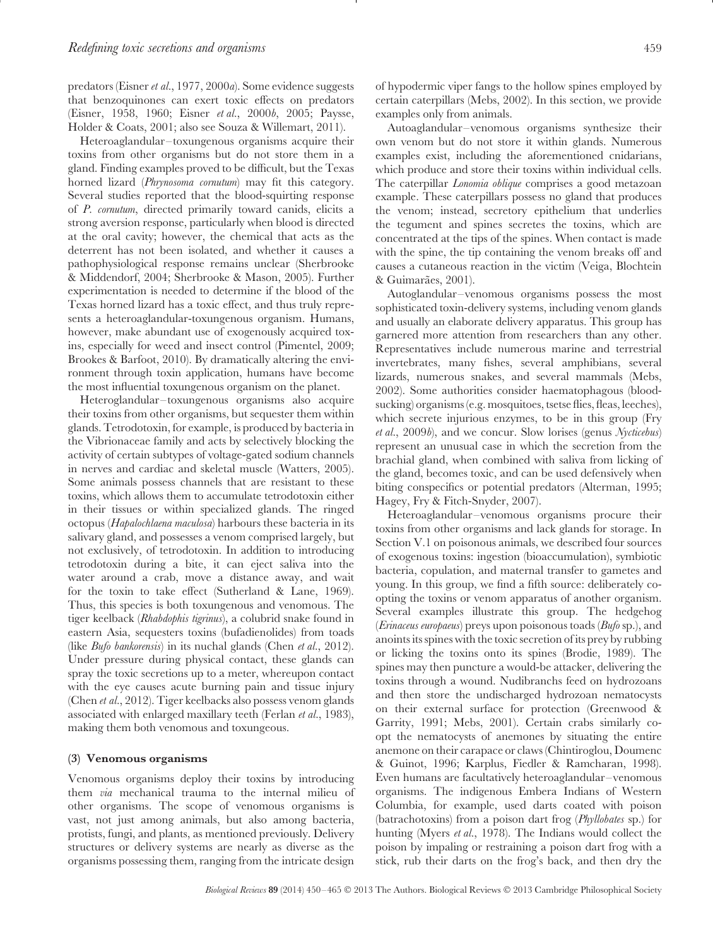predators (Eisner *et al.*, 1977, 2000*a*). Some evidence suggests that benzoquinones can exert toxic effects on predators (Eisner, 1958, 1960; Eisner *et al.*, 2000*b*, 2005; Paysse, Holder & Coats, 2001; also see Souza & Willemart, 2011).

Heteroaglandular–toxungenous organisms acquire their toxins from other organisms but do not store them in a gland. Finding examples proved to be difficult, but the Texas horned lizard (*Phrynosoma cornutum*) may fit this category. Several studies reported that the blood-squirting response of *P. cornutum*, directed primarily toward canids, elicits a strong aversion response, particularly when blood is directed at the oral cavity; however, the chemical that acts as the deterrent has not been isolated, and whether it causes a pathophysiological response remains unclear (Sherbrooke & Middendorf, 2004; Sherbrooke & Mason, 2005). Further experimentation is needed to determine if the blood of the Texas horned lizard has a toxic effect, and thus truly represents a heteroaglandular-toxungenous organism. Humans, however, make abundant use of exogenously acquired toxins, especially for weed and insect control (Pimentel, 2009; Brookes & Barfoot, 2010). By dramatically altering the environment through toxin application, humans have become the most influential toxungenous organism on the planet.

Heteroglandular–toxungenous organisms also acquire their toxins from other organisms, but sequester them within glands. Tetrodotoxin, for example, is produced by bacteria in the Vibrionaceae family and acts by selectively blocking the activity of certain subtypes of voltage-gated sodium channels in nerves and cardiac and skeletal muscle (Watters, 2005). Some animals possess channels that are resistant to these toxins, which allows them to accumulate tetrodotoxin either in their tissues or within specialized glands. The ringed octopus (*Hapalochlaena maculosa*) harbours these bacteria in its salivary gland, and possesses a venom comprised largely, but not exclusively, of tetrodotoxin. In addition to introducing tetrodotoxin during a bite, it can eject saliva into the water around a crab, move a distance away, and wait for the toxin to take effect (Sutherland & Lane, 1969). Thus, this species is both toxungenous and venomous. The tiger keelback (*Rhabdophis tigrinus*), a colubrid snake found in eastern Asia, sequesters toxins (bufadienolides) from toads (like *Bufo bankorensis*) in its nuchal glands (Chen *et al.*, 2012). Under pressure during physical contact, these glands can spray the toxic secretions up to a meter, whereupon contact with the eye causes acute burning pain and tissue injury (Chen *et al.*, 2012). Tiger keelbacks also possess venom glands associated with enlarged maxillary teeth (Ferlan *et al.*, 1983), making them both venomous and toxungeous.

#### **(3) Venomous organisms**

Venomous organisms deploy their toxins by introducing them *via* mechanical trauma to the internal milieu of other organisms. The scope of venomous organisms is vast, not just among animals, but also among bacteria, protists, fungi, and plants, as mentioned previously. Delivery structures or delivery systems are nearly as diverse as the organisms possessing them, ranging from the intricate design

of hypodermic viper fangs to the hollow spines employed by certain caterpillars (Mebs, 2002). In this section, we provide examples only from animals.

Autoaglandular–venomous organisms synthesize their own venom but do not store it within glands. Numerous examples exist, including the aforementioned cnidarians, which produce and store their toxins within individual cells. The caterpillar *Lonomia oblique* comprises a good metazoan example. These caterpillars possess no gland that produces the venom; instead, secretory epithelium that underlies the tegument and spines secretes the toxins, which are concentrated at the tips of the spines. When contact is made with the spine, the tip containing the venom breaks off and causes a cutaneous reaction in the victim (Veiga, Blochtein & Guimarães, 2001).

Autoglandular–venomous organisms possess the most sophisticated toxin-delivery systems, including venom glands and usually an elaborate delivery apparatus. This group has garnered more attention from researchers than any other. Representatives include numerous marine and terrestrial invertebrates, many fishes, several amphibians, several lizards, numerous snakes, and several mammals (Mebs, 2002). Some authorities consider haematophagous (bloodsucking) organisms (e.g. mosquitoes, tsetse flies, fleas, leeches), which secrete injurious enzymes, to be in this group (Fry *et al.*, 2009*b*), and we concur. Slow lorises (genus *Nycticebus*) represent an unusual case in which the secretion from the brachial gland, when combined with saliva from licking of the gland, becomes toxic, and can be used defensively when biting conspecifics or potential predators (Alterman, 1995; Hagey, Fry & Fitch-Snyder, 2007).

Heteroaglandular–venomous organisms procure their toxins from other organisms and lack glands for storage. In Section V.1 on poisonous animals, we described four sources of exogenous toxins: ingestion (bioaccumulation), symbiotic bacteria, copulation, and maternal transfer to gametes and young. In this group, we find a fifth source: deliberately coopting the toxins or venom apparatus of another organism. Several examples illustrate this group. The hedgehog (*Erinaceus europaeus*) preys upon poisonous toads (*Bufo* sp.), and anoints its spines with the toxic secretion of its prey by rubbing or licking the toxins onto its spines (Brodie, 1989). The spines may then puncture a would-be attacker, delivering the toxins through a wound. Nudibranchs feed on hydrozoans and then store the undischarged hydrozoan nematocysts on their external surface for protection (Greenwood & Garrity, 1991; Mebs, 2001). Certain crabs similarly coopt the nematocysts of anemones by situating the entire anemone on their carapace or claws (Chintiroglou, Doumenc & Guinot, 1996; Karplus, Fiedler & Ramcharan, 1998). Even humans are facultatively heteroaglandular–venomous organisms. The indigenous Embera Indians of Western Columbia, for example, used darts coated with poison (batrachotoxins) from a poison dart frog (*Phyllobates* sp.) for hunting (Myers *et al.*, 1978). The Indians would collect the poison by impaling or restraining a poison dart frog with a stick, rub their darts on the frog's back, and then dry the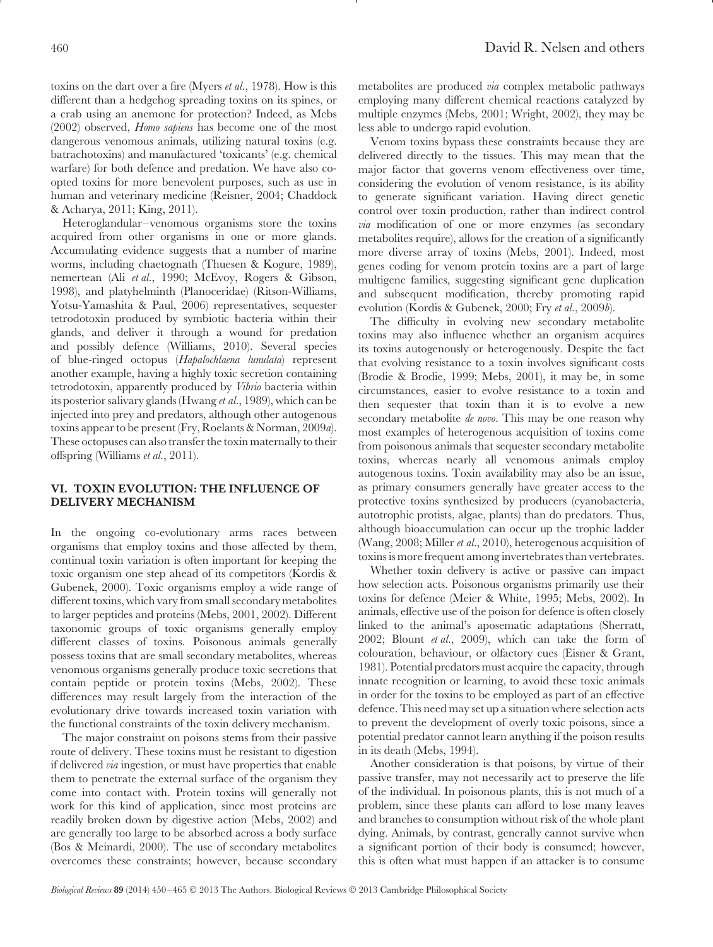toxins on the dart over a fire (Myers *et al.*, 1978). How is this different than a hedgehog spreading toxins on its spines, or a crab using an anemone for protection? Indeed, as Mebs (2002) observed, *Homo sapiens* has become one of the most dangerous venomous animals, utilizing natural toxins (e.g. batrachotoxins) and manufactured 'toxicants' (e.g. chemical warfare) for both defence and predation. We have also coopted toxins for more benevolent purposes, such as use in human and veterinary medicine (Reisner, 2004; Chaddock & Acharya, 2011; King, 2011).

Heteroglandular–venomous organisms store the toxins acquired from other organisms in one or more glands. Accumulating evidence suggests that a number of marine worms, including chaetognath (Thuesen & Kogure, 1989), nemertean (Ali *et al.*, 1990; McEvoy, Rogers & Gibson, 1998), and platyhelminth (Planoceridae) (Ritson-Williams, Yotsu-Yamashita & Paul, 2006) representatives, sequester tetrodotoxin produced by symbiotic bacteria within their glands, and deliver it through a wound for predation and possibly defence (Williams, 2010). Several species of blue-ringed octopus (*Hapalochlaena lunulata*) represent another example, having a highly toxic secretion containing tetrodotoxin, apparently produced by *Vibrio* bacteria within its posterior salivary glands (Hwang *et al.*, 1989), which can be injected into prey and predators, although other autogenous toxins appear to be present (Fry, Roelants & Norman, 2009*a*). These octopuses can also transfer the toxin maternally to their offspring (Williams *et al.*, 2011).

# **VI. TOXIN EVOLUTION: THE INFLUENCE OF DELIVERY MECHANISM**

In the ongoing co-evolutionary arms races between organisms that employ toxins and those affected by them, continual toxin variation is often important for keeping the toxic organism one step ahead of its competitors (Kordis & Gubenek, 2000). Toxic organisms employ a wide range of different toxins, which vary from small secondary metabolites to larger peptides and proteins (Mebs, 2001, 2002). Different taxonomic groups of toxic organisms generally employ different classes of toxins. Poisonous animals generally possess toxins that are small secondary metabolites, whereas venomous organisms generally produce toxic secretions that contain peptide or protein toxins (Mebs, 2002). These differences may result largely from the interaction of the evolutionary drive towards increased toxin variation with the functional constraints of the toxin delivery mechanism.

The major constraint on poisons stems from their passive route of delivery. These toxins must be resistant to digestion if delivered *via* ingestion, or must have properties that enable them to penetrate the external surface of the organism they come into contact with. Protein toxins will generally not work for this kind of application, since most proteins are readily broken down by digestive action (Mebs, 2002) and are generally too large to be absorbed across a body surface (Bos & Meinardi, 2000). The use of secondary metabolites overcomes these constraints; however, because secondary metabolites are produced *via* complex metabolic pathways employing many different chemical reactions catalyzed by multiple enzymes (Mebs, 2001; Wright, 2002), they may be less able to undergo rapid evolution.

Venom toxins bypass these constraints because they are delivered directly to the tissues. This may mean that the major factor that governs venom effectiveness over time, considering the evolution of venom resistance, is its ability to generate significant variation. Having direct genetic control over toxin production, rather than indirect control *via* modification of one or more enzymes (as secondary metabolites require), allows for the creation of a significantly more diverse array of toxins (Mebs, 2001). Indeed, most genes coding for venom protein toxins are a part of large multigene families, suggesting significant gene duplication and subsequent modification, thereby promoting rapid evolution (Kordis & Gubenek, 2000; Fry *et al.*, 2009*b*).

The difficulty in evolving new secondary metabolite toxins may also influence whether an organism acquires its toxins autogenously or heterogenously. Despite the fact that evolving resistance to a toxin involves significant costs (Brodie & Brodie, 1999; Mebs, 2001), it may be, in some circumstances, easier to evolve resistance to a toxin and then sequester that toxin than it is to evolve a new secondary metabolite *de novo*. This may be one reason why most examples of heterogenous acquisition of toxins come from poisonous animals that sequester secondary metabolite toxins, whereas nearly all venomous animals employ autogenous toxins. Toxin availability may also be an issue, as primary consumers generally have greater access to the protective toxins synthesized by producers (cyanobacteria, autotrophic protists, algae, plants) than do predators. Thus, although bioaccumulation can occur up the trophic ladder (Wang, 2008; Miller *et al.*, 2010), heterogenous acquisition of toxins is more frequent among invertebrates than vertebrates.

Whether toxin delivery is active or passive can impact how selection acts. Poisonous organisms primarily use their toxins for defence (Meier & White, 1995; Mebs, 2002). In animals, effective use of the poison for defence is often closely linked to the animal's aposematic adaptations (Sherratt, 2002; Blount *et al.*, 2009), which can take the form of colouration, behaviour, or olfactory cues (Eisner & Grant, 1981). Potential predators must acquire the capacity, through innate recognition or learning, to avoid these toxic animals in order for the toxins to be employed as part of an effective defence. This need may set up a situation where selection acts to prevent the development of overly toxic poisons, since a potential predator cannot learn anything if the poison results in its death (Mebs, 1994).

Another consideration is that poisons, by virtue of their passive transfer, may not necessarily act to preserve the life of the individual. In poisonous plants, this is not much of a problem, since these plants can afford to lose many leaves and branches to consumption without risk of the whole plant dying. Animals, by contrast, generally cannot survive when a significant portion of their body is consumed; however, this is often what must happen if an attacker is to consume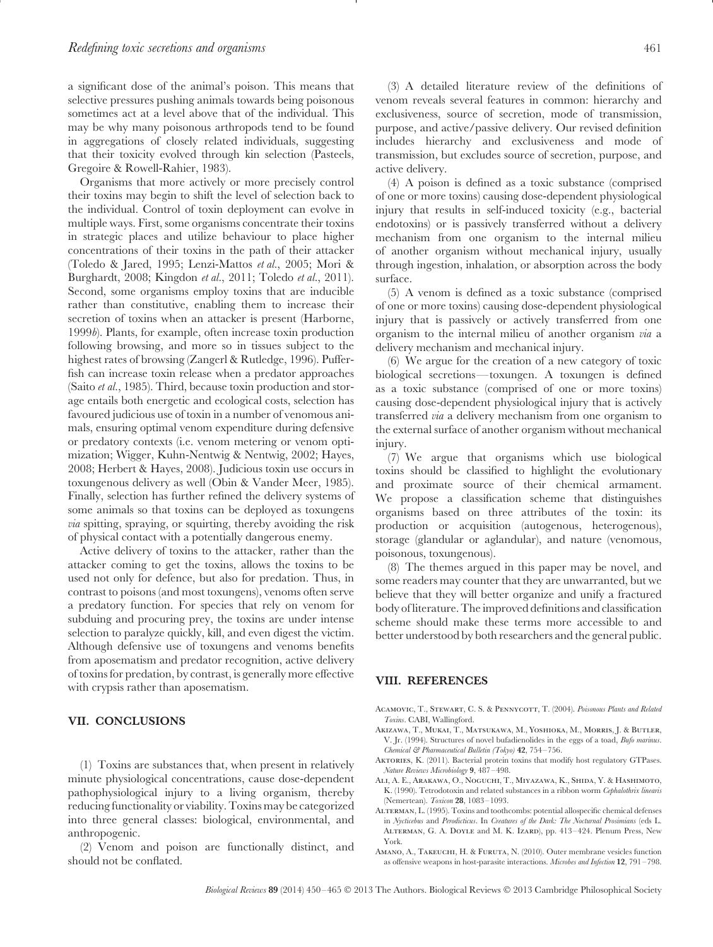a significant dose of the animal's poison. This means that selective pressures pushing animals towards being poisonous sometimes act at a level above that of the individual. This may be why many poisonous arthropods tend to be found in aggregations of closely related individuals, suggesting that their toxicity evolved through kin selection (Pasteels, Gregoire & Rowell-Rahier, 1983).

Organisms that more actively or more precisely control their toxins may begin to shift the level of selection back to the individual. Control of toxin deployment can evolve in multiple ways. First, some organisms concentrate their toxins in strategic places and utilize behaviour to place higher concentrations of their toxins in the path of their attacker (Toledo & Jared, 1995; Lenzi-Mattos *et al.*, 2005; Mori & Burghardt, 2008; Kingdon *et al.*, 2011; Toledo *et al.*, 2011). Second, some organisms employ toxins that are inducible rather than constitutive, enabling them to increase their secretion of toxins when an attacker is present (Harborne, 1999*b*). Plants, for example, often increase toxin production following browsing, and more so in tissues subject to the highest rates of browsing (Zangerl & Rutledge, 1996). Pufferfish can increase toxin release when a predator approaches (Saito *et al.*, 1985). Third, because toxin production and storage entails both energetic and ecological costs, selection has favoured judicious use of toxin in a number of venomous animals, ensuring optimal venom expenditure during defensive or predatory contexts (i.e. venom metering or venom optimization; Wigger, Kuhn-Nentwig & Nentwig, 2002; Hayes, 2008; Herbert & Hayes, 2008). Judicious toxin use occurs in toxungenous delivery as well (Obin & Vander Meer, 1985). Finally, selection has further refined the delivery systems of some animals so that toxins can be deployed as toxungens *via* spitting, spraying, or squirting, thereby avoiding the risk of physical contact with a potentially dangerous enemy.

Active delivery of toxins to the attacker, rather than the attacker coming to get the toxins, allows the toxins to be used not only for defence, but also for predation. Thus, in contrast to poisons (and most toxungens), venoms often serve a predatory function. For species that rely on venom for subduing and procuring prey, the toxins are under intense selection to paralyze quickly, kill, and even digest the victim. Although defensive use of toxungens and venoms benefits from aposematism and predator recognition, active delivery of toxins for predation, by contrast, is generally more effective with crypsis rather than aposematism.

## **VII. CONCLUSIONS**

(1) Toxins are substances that, when present in relatively minute physiological concentrations, cause dose-dependent pathophysiological injury to a living organism, thereby reducing functionality or viability. Toxins may be categorized into three general classes: biological, environmental, and anthropogenic.

(2) Venom and poison are functionally distinct, and should not be conflated.

(3) A detailed literature review of the definitions of venom reveals several features in common: hierarchy and exclusiveness, source of secretion, mode of transmission, purpose, and active/passive delivery. Our revised definition includes hierarchy and exclusiveness and mode of transmission, but excludes source of secretion, purpose, and active delivery.

(4) A poison is defined as a toxic substance (comprised of one or more toxins) causing dose-dependent physiological injury that results in self-induced toxicity (e.g., bacterial endotoxins) or is passively transferred without a delivery mechanism from one organism to the internal milieu of another organism without mechanical injury, usually through ingestion, inhalation, or absorption across the body surface.

(5) A venom is defined as a toxic substance (comprised of one or more toxins) causing dose-dependent physiological injury that is passively or actively transferred from one organism to the internal milieu of another organism *via* a delivery mechanism and mechanical injury.

(6) We argue for the creation of a new category of toxic biological secretions—toxungen. A toxungen is defined as a toxic substance (comprised of one or more toxins) causing dose-dependent physiological injury that is actively transferred *via* a delivery mechanism from one organism to the external surface of another organism without mechanical injury.

(7) We argue that organisms which use biological toxins should be classified to highlight the evolutionary and proximate source of their chemical armament. We propose a classification scheme that distinguishes organisms based on three attributes of the toxin: its production or acquisition (autogenous, heterogenous), storage (glandular or aglandular), and nature (venomous, poisonous, toxungenous).

(8) The themes argued in this paper may be novel, and some readers may counter that they are unwarranted, but we believe that they will better organize and unify a fractured body of literature. The improved definitions and classification scheme should make these terms more accessible to and better understood by both researchers and the general public.

#### **VIII. REFERENCES**

- ACAMOVIC, T., STEWART, C. S. & PENNYCOTT, T. (2004). *Poisonous Plants and Related Toxins*. CABI, Wallingford.
- Akizawa, T., Mukai, T., Matsukawa, M., Yoshioka, M., Morris, J. & Butler, V. Jr. (1994). Structures of novel bufadienolides in the eggs of a toad, *Bufo marinus*. *Chemical & Pharmaceutical Bulletin (Tokyo)* **42**, 754–756.
- AKTORIES, K. (2011). Bacterial protein toxins that modify host regulatory GTPases. *Nature Reviews Microbiology* **9**, 487–498.
- Ali, A. E., Arakawa, O., Noguchi, T., Miyazawa, K., Shida, Y. & Hashimoto, K. (1990). Tetrodotoxin and related substances in a ribbon worm *Cephalothrix linearis* (Nemertean). *Toxicon* **28**, 1083–1093.
- Alterman, L. (1995). Toxins and toothcombs: potential allospecific chemical defenses in *Nycticebus* and *Perodicticus*. In *Creatures of the Dark: The Nocturnal Prosimians* (eds L. Alterman, G. A. Doyle and M. K. Izard), pp. 413–424. Plenum Press, New York.
- Amano, A., Takeuchi, H. & Furuta, N. (2010). Outer membrane vesicles function as offensive weapons in host-parasite interactions. *Microbes and Infection* **12**, 791–798.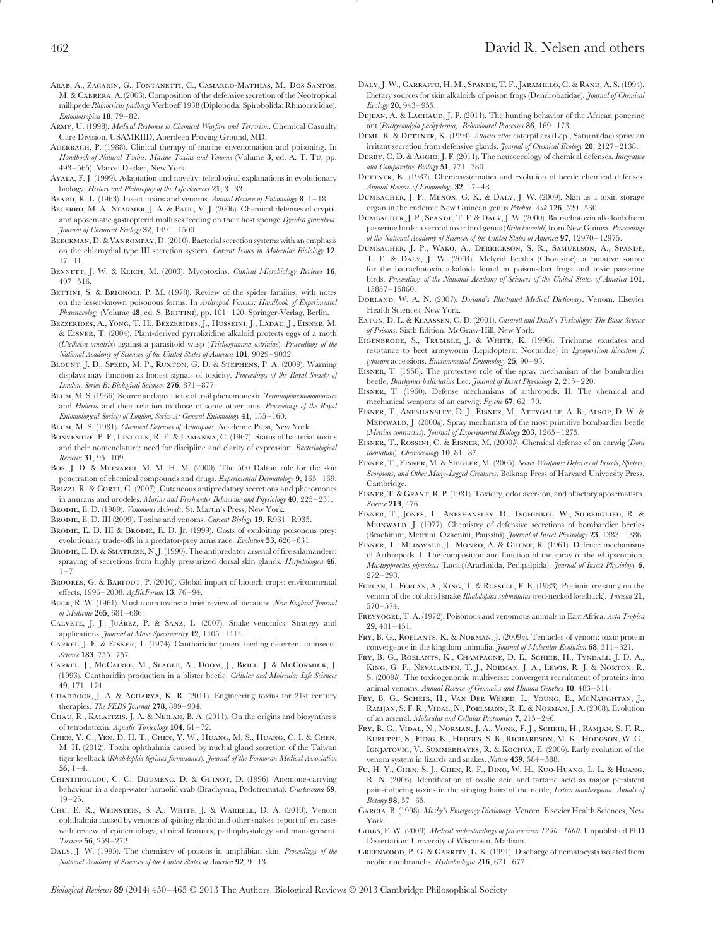- Arab, A., Zacarin, G., Fontanetti, C., Camargo-Mathias, M., Dos Santos, M. & CABRERA, A. (2003). Composition of the defensive secretion of the Neotropical millipede *Rhinocricus padbergi* Verhoeff 1938 (Diplopoda: Spirobolida: Rhinocricidae). *Entomotropica* **18**, 79–82.
- Army, U. (1998). *Medical Response to Chemical Warfare and Terrorism*. Chemical Casualty Care Division, USAMRIID, Aberdeen Proving Ground, MD.
- AUERBACH, P. (1988). Clinical therapy of marine envenomation and poisoning. In *Handbook of Natural Toxins: Marine Toxins and Venoms* (Volume **3**, ed. A. T. Tu, pp. 493–565). Marcel Dekker, New York.
- Ayala, F. J. (1999). Adaptation and novelty: teleological explanations in evolutionary biology. *History and Philosophy of the Life Sciences* **21**, 3–33.
- Beard, R. L. (1963). Insect toxins and venoms. *Annual Review of Entomology* **8**, 1–18.
- Becerro, M. A., Starmer, J. A. & Paul, V. J. (2006). Chemical defenses of cryptic and aposematic gastropterid molluscs feeding on their host sponge *Dysidea granulosa*. *Journal of Chemical Ecology* **32**, 1491–1500.
- BEECKMAN, D. & VANROMPAY, D. (2010). Bacterial secretion systems with an emphasis on the chlamydial type III secretion system. *Current Issues in Molecular Biolology* **12**, 17–41.
- BENNETT, J. W. & KLICH, M. (2003). Mycotoxins. *Clinical Microbiology Reviews* 16, 497–516.
- BETTINI, S. & BRIGNOLI, P. M. (1978). Review of the spider families, with notes on the lesser-known poisonous forms. In *Arthropod Venoms: Handbook of Experimental Pharmacology* (Volume 48, ed. S. BETTINI), pp. 101-120. Springer-Verlag, Berlin.
- Bezzerides, A., Yong, T. H., Bezzerides, J., Husseini, J., Ladau, J., Eisner, M. & Eisner, T. (2004). Plant-derived pyrrolizidine alkaloid protects eggs of a moth (*Utetheisa ornatrix*) against a parasitoid wasp (*Trichogramma ostriniae*). *Proceedings of the National Academy of Sciences of the United States of America* **101**, 9029–9032.
- Blount, J. D., Speed, M. P., Ruxton, G. D. & Stephens, P. A. (2009). Warning displays may function as honest signals of toxicity. *Proceedings of the Royal Society of London, Series B: Biological Sciences* **276**, 871–877.
- Blum, M. S. (1966). Source and specificity of trail pheromones in*Termitopone monomorium* and *Huberia* and their relation to those of some other ants. *Proceedings of the Royal Entomological Society of London, Series A: General Entomology* **41**, 155–160.
- Blum, M. S. (1981). *Chemical Defenses of Arthropods*. Academic Press, New York.
- BONVENTRE, P. F., LINCOLN, R. E. & LAMANNA, C. (1967). Status of bacterial toxins and their nomenclature: need for discipline and clarity of expression. *Bacteriological Reviews* **31**, 95–109.
- Bos, J. D. & MEINARDI, M. M. H. M. (2000). The 500 Dalton rule for the skin penetration of chemical compounds and drugs. *Experimental Dermatology* **9**, 165–169.
- BRIZZI, R. & CORTI, C. (2007). Cutaneous antipredatory secretions and pheromones in anurans and urodeles. *Marine and Freshwater Behaviour and Physiology* **40**, 225–231. Brodie, E. D. (1989). *Venomous Animals*. St. Martin's Press, New York.
- Brodie, E. D. III (2009). Toxins and venoms. *Current Biology* **19**, R931–R935.
- BRODIE, E. D. III & BRODIE, E. D. Jr. (1999). Costs of exploiting poisonous prey: evolutionary trade-offs in a predator-prey arms race. *Evolution* **53**, 626–631.
- BRODIE, E. D. & SMATRESK, N. J. (1990). The antipredator arsenal of fire salamanders: spraying of secretions from highly pressurized dorsal skin glands. *Herpetologica* **46**,  $1 - 7$ .
- BROOKES, G. & BARFOOT, P. (2010). Global impact of biotech crops: environmental effects, 1996–2008. *AgBioForum* **13**, 76–94.
- Buck, R. W. (1961). Mushroom toxins: a brief review of literature. *New England Journal of Medicine* **265**, 681–686.
- CALVETE, J. J., JUÁREZ, P. & SANZ, L. (2007). Snake venomics. Strategy and applications. *Journal of Mass Spectrometry* **42**, 1405–1414.
- CARREL, J. E. & EISNER, T. (1974). Cantharidin: potent feeding deterrent to insects. *Science* **183**, 755–757.
- Carrel, J., McCairel, M., Slagle, A., Doom, J., Brill, J. & McCormick, J. (1993). Cantharidin production in a blister beetle. *Cellular and Molecular Life Sciences* **49**, 171–174.
- CHADDOCK, J. A. & ACHARYA, K. R. (2011). Engineering toxins for 21st century therapies. *The FEBS Journal* **278**, 899–904.
- Chau, R., Kalaitzis, J. A. & Neilan, B. A. (2011). On the origins and biosynthesis of tetrodotoxin. *Aquatic Toxicology* **104**, 61–72.
- Chen, Y. C., Yen, D. H. T., Chen, Y. W., Huang, M. S., Huang, C. I. & Chen, M. H. (2012). Toxin ophthalmia caused by nuchal gland secretion of the Taiwan tiger keelback (*Rhabdophis tigrinus formosanus*). *Journal of the Formosan Medical Association* **56**, 1–4.
- Chintiroglou, C. C., Doumenc, D. & Guinot, D. (1996). Anemone-carrying behaviour in a deep-water homolid crab (Brachyura, Podotremata). *Crustaceana* **69**, 19–25.
- Chu, E. R., Weinstein, S. A., White, J. & Warrell, D. A. (2010). Venom ophthalmia caused by venoms of spitting elapid and other snakes: report of ten cases with review of epidemiology, clinical features, pathophysiology and management. *Toxicon* **56**, 259–272.
- Daly, J. W. (1995). The chemistry of poisons in amphibian skin. *Proceedings of the National Academy of Sciences of the United States of America* **92**, 9–13.
- Daly, J. W., Garraffo, H. M., Spande, T. F., Jaramillo, C. & Rand, A. S. (1994). Dietary sources for skin alkaloids of poison frogs (Dendrobatidae). *Journal of Chemical Ecology* **20**, 943–955.
- DEJEAN, A. & LACHAUD, J. P. (2011). The hunting behavior of the African ponerine ant (*Pachycondyla pachyderma)*. *Behavioural Processes* **86**, 169–173.
- Deml, R. & Dettner, K. (1994). *Attacus atlas* caterpillars (Lep., Saturniidae) spray an irritant secretion from defensive glands. *Journal of Chemical Ecology* **20**, 2127–2138.
- DERBY, C. D. & AGGIO, J. F. (2011). The neuroecology of chemical defenses. *Integrative and Comparative Biology* **51**, 771–780.
- DETTNER, K. (1987). Chemosystematics and evolution of beetle chemical defenses. *Annual Review of Entomology* **32**, 17–48.
- Dumbacher, J. P., Menon, G. K. & Daly, J. W. (2009). Skin as a toxin storage organ in the endemic New Guinean genus *Pitohui*. *Auk* **126**, 520–530.
- Dumbacher, J. P., Spande, T. F. & Daly, J. W. (2000). Batrachotoxin alkaloids from passerine birds: a second toxic bird genus (*Ifrita kowaldi*) from New Guinea. *Proceedings of the National Academy of Sciences of the United States of America* **97**, 12970–12975.
- Dumbacher, J. P., Wako, A., Derrickson, S. R., Samuelson, A., Spande, T. F. & Daly, J. W. (2004). Melyrid beetles (Choresine): a putative source for the batrachotoxin alkaloids found in poison-dart frogs and toxic passerine birds. *Proceedings of the National Academy of Sciences of the United States of America* **101**, 15857–15860.
- Dorland, W. A. N. (2007). *Dorland's Illustrated Medical Dictionary*. Venom. Elsevier Health Sciences, New York.
- Eaton, D. L. & Klaassen, C. D. (2001). *Casarett and Doull's Toxicology: The Basic Science of Poisons*. Sixth Edition. McGraw-Hill, New York.
- EIGENBRODE, S., TRUMBLE, J. & WHITE, K. (1996). Trichome exudates and resistance to beet armyworm (Lepidoptera: Noctuidae) in *Lycopersicon hirsutum f. typicum* accessions. *Environmental Entomology* **25**, 90–95.
- Eisner, T. (1958). The protective role of the spray mechanism of the bombardier beetle, *Brachynus ballistarius* Lec. *Journal of Insect Physiology* **2**, 215–220.
- Eisner, T. (1960). Defense mechanisms of arthropods. II. The chemical and mechanical weapons of an earwig. *Psyche* **67**, 62–70.
- Eisner, T., Aneshansley, D. J., Eisner, M., Attygalle, A. B., Alsop, D. W. & Meinwald, J. (2000*a*). Spray mechanism of the most primitive bombardier beetle (*Metrius contractus*). *Journal of Experimental Biology* **203**, 1265–1275.
- Eisner, T., Rossini, C. & Eisner, M. (2000*b*). Chemical defense of an earwig (*Doru taeniatum*). *Chemoecology* **10**, 81–87.
- Eisner, T., Eisner, M. & Siegler, M. (2005). *Secret Weapons: Defenses of Insects, Spiders, Scorpions, and Other Many-Legged Creatures*. Belknap Press of Harvard University Press, Cambridge.
- Eisner, T. & Grant, R. P. (1981). Toxicity, odor aversion, and olfactory aposematism. *Science* **213**, 476.
- Eisner, T., Jones, T., Aneshansley, D., Tschinkel, W., Silberglied, R. & Meinwald, J. (1977). Chemistry of defensive secretions of bombardier beetles (Brachinini, Metriini, Ozaenini, Paussini). *Journal of Insect Physiology* **23**, 1383–1386.
- EISNER, T., MEINWALD, J., MONRO, A. & GHENT, R. (1961). Defence mechanisms of Arthropods. I. The composition and function of the spray of the whipscorpion, *Mastigoproctus giganteus* (Lucas)(Arachnida, Pedipalpida). *Journal of Insect Physiology* **6**, 272–298.
- Ferlan, I., Ferlan, A., King, T. & Russell, F. E. (1983). Preliminary study on the venom of the colubrid snake *Rhabdophis subminatus* (red-necked keelback). *Toxicon* **21**, 570–574.
- Freyvogel, T. A. (1972). Poisonous and venomous animals in East Africa. *Acta Tropica* **29**, 401–451.
- Fry, B. G., Roelants, K. & Norman, J. (2009*a*). Tentacles of venom: toxic protein convergence in the kingdom animalia. *Journal of Molecular Evolution* **68**, 311–321.
- Fry, B. G., Roelants, K., Champagne, D. E., Scheib, H., Tyndall, J. D. A., King, G. F., Nevalainen, T. J., Norman, J. A., Lewis, R. J. & Norton, R. S. (2009*b*). The toxicogenomic multiverse: convergent recruitment of proteins into animal venoms. *Annual Review of Genomics and Human Genetics* **10**, 483–511.
- Fry, B. G., Scheib, H., Van Der Weerd, L., Young, B., McNaughtan, J., Ramjan, S. F. R., Vidal, N., Poelmann, R. E. & Norman, J. A. (2008). Evolution of an arsenal. *Molecular and Cellular Proteomics* **7**, 215–246.
- Fry, B. G., Vidal, N., Norman, J. A., Vonk, F. J., Scheib, H., Ramjan, S. F. R., Kuruppu, S., Fung, K., Hedges, S. B., Richardson, M. K., Hodgson, W. C., Ignjatovic, V., Summerhayes, R. & Kochva, E. (2006). Early evolution of the venom system in lizards and snakes. *Nature* **439**, 584–588.
- Fu, H. Y., Chen, S. J., Chen, R. F., Ding, W. H., Kuo-Huang, L. L. & Huang, R. N. (2006). Identification of oxalic acid and tartaric acid as major persistent pain-inducing toxins in the stinging hairs of the nettle, *Urtica thunbergiana*. *Annals of Botany* **98**, 57–65.
- Garcia, B. (1998). *Mosby's Emergency Dictionary*. Venom. Elsevier Health Sciences, New York.
- GIBBS, F. W. (2009). *Medical understandings of poison circa 1250–1600*. Unpublished PhD Dissertation: University of Wisconsin, Madison.
- Greenwood, P. G. & Garrity, L. K. (1991). Discharge of nematocysts isolated from aeolid nudibranchs. *Hydrobiologia* **216**, 671–677.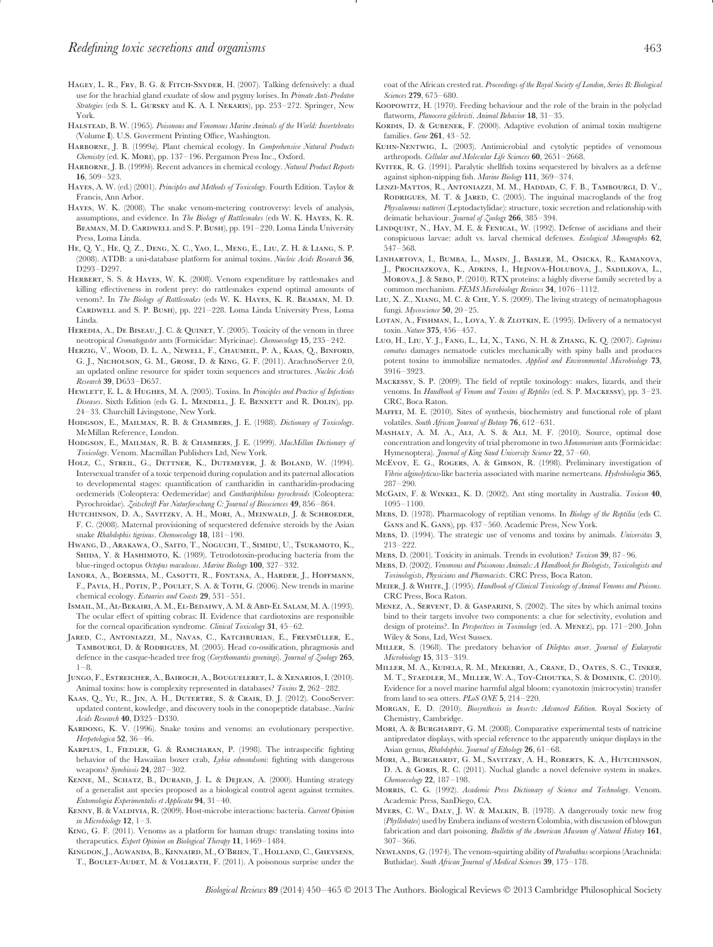- HAGEY, L. R., FRY, B. G. & FITCH-SNYDER, H. (2007). Talking defensively: a dual use for the brachial gland exudate of slow and pygmy lorises. In *Primate Anti-Predator Strategies* (eds S. L. Gursky and K. A. I. Nekaris), pp. 253–272. Springer, New York.
- Halstead, B. W. (1965). *Poisonous and Venomous Marine Animals of the World: Invertebrates* (Volume **I**). U.S. Goverment Printing Office, Washington.
- HARBORNE, J. B. (1999*a*). Plant chemical ecology. In *Comprehensive Natural Products Chemistry* (ed. K. Mori), pp. 137–196. Pergamon Press Inc., Oxford.
- Harborne, J. B. (1999*b*). Recent advances in chemical ecology. *Natural Product Reports* **16**, 509–523.
- Hayes, A. W. (ed.) (2001). *Principles and Methods of Toxicology*. Fourth Edition. Taylor & Francis, Ann Arbor.
- Hayes, W. K. (2008). The snake venom-metering controversy: levels of analysis, assumptions, and evidence. In *The Biology of Rattlesnakes* (eds W. K. Hayes, K. R. BEAMAN, M. D. CARDWELL and S. P. BUSH), pp. 191-220. Loma Linda University Press, Loma Linda.
- He, Q. Y., He, Q. Z., Deng, X. C., Yao, L., Meng, E., Liu, Z. H. & Liang, S. P. (2008). ATDB: a uni-database platform for animal toxins. *Nucleic Acids Research* **36**, D293–D297.
- HERBERT, S. S. & HAYES, W. K. (2008). Venom expenditure by rattlesnakes and killing effectiveness in rodent prey: do rattlesnakes expend optimal amounts of venom?. In *The Biology of Rattlesnakes* (eds W. K. Hayes, K. R. Beaman, M. D. Cardwell and S. P. Bush), pp. 221–228. Loma Linda University Press, Loma Linda.
- HEREDIA, A., DE BISEAU, J. C. & QUINET, Y. (2005). Toxicity of the venom in three neotropical *Cromatogaster* ants (Formicidae: Myricinae). *Chemoecology* **15**, 235–242.
- Herzig, V., Wood, D. L. A., Newell, F., Chaumeil, P. A., Kaas, Q., Binford, G. J., Nicholson, G. M., Grose, D. & King, G. F. (2011). ArachnoServer 2.0, an updated online resource for spider toxin sequences and structures. *Nucleic Acids Research* **39**, D653–D657.
- Hewlett, E. L. & Hughes, M. A. (2005). Toxins. In *Principles and Practice of Infectious Diseases*. Sixth Edition (eds G. L. Mendell, J. E. Bennett and R. Dolin), pp. 24–33. Churchill Livingstone, New York.
- HODGSON, E., MAILMAN, R. B. & CHAMBERS, J. E. (1988). *Dictionary of Toxicology*. McMillan Reference, London.
- Hodgson, E., Mailman, R. B. & Chambers, J. E. (1999). *MacMillan Dictionary of Toxicology*. Venom. Macmillan Publishers Ltd, New York.
- Holz, C., Streil, G., Dettner, K., Dutemeyer, J. & Boland, W. (1994). Intersexual transfer of a toxic terpenoid during copulation and its paternal allocation to developmental stages: quantification of cantharidin in cantharidin-producing oedemerids (Coleoptera: Oedemeridae) and *Canthariphilous pyrochroids* (Coleoptera: Pyrochroidae). *Zeitschrift Fur Naturforschung C: Journal of Biosciences* **49**, 856–864.
- Hutchinson, D. A., Savitzky, A. H., Mori, A., Meinwald, J. & Schroeder, F. C. (2008). Maternal provisioning of sequestered defensive steroids by the Asian snake *Rhabdophis tigrinus*. *Chemoecology* **18**, 181–190.
- Hwang, D., Arakawa, O., Saito, T., Noguchi, T., Simidu, U., Tsukamoto, K., SHIDA, Y. & HASHIMOTO, K. (1989). Tetrodotoxin-producing bacteria from the blue-ringed octopus *Octopus maculosus*. *Marine Biology* **100**, 327–332.
- Ianora, A., Boersma, M., Casotti, R., Fontana, A., Harder, J., Hoffmann, F., PAVIA, H., POTIN, P., POULET, S. A. & TOTH, G. (2006). New trends in marine chemical ecology. *Estuaries and Coasts* **29**, 531–551.
- Ismail, M., Al-Bekairi, A. M., El-Bedaiwy, A. M. & Abd-El Salam, M. A. (1993). The ocular effect of spitting cobras: II. Evidence that cardiotoxins are responsible for the corneal opacification syndrome. *Clinical Toxicology* **31**, 45–62.
- JARED, C., ANTONIAZZI, M., NAVAS, C., KATCHBURIAN, E., FREYMÜLLER, E., TAMBOURGI, D. & RODRIGUES, M. (2005). Head co-ossification, phragmosis and defence in the casque-headed tree frog (*Corythomantis greeningi*). *Journal of Zoology* **265**, 1–8.
- Jungo, F., Estreicher, A., Bairoch, A., Bougueleret, L. & Xenarios, I. (2010). Animal toxins: how is complexity represented in databases? *Toxins* **2**, 262–282.
- Kaas, Q., Yu, R., Jin, A. H., Dutertre, S. & Craik, D. J. (2012). ConoServer: updated content, kowledge, and discovery tools in the conopeptide database. *Nucleic Acids Research* **40**, D325–D330.
- KARDONG, K. V. (1996). Snake toxins and venoms: an evolutionary perspective. *Herpetologica* **52**, 36–46.
- KARPLUS, I., FIEDLER, G. & RAMCHARAN, P. (1998). The intraspecific fighting behavior of the Hawaiian boxer crab, *Lybia edmondsoni*: fighting with dangerous weapons? *Symbiosis* **24**, 287–302.
- KENNE, M., SCHATZ, B., DURAND, J. L. & DEJEAN, A. (2000). Hunting strategy of a generalist ant species proposed as a biological control agent against termites. *Entomologia Experimentalis et Applicata* **94**, 31–40.
- Kenny, B. & Valdivia, R. (2009). Host-microbe interactions: bacteria. *Current Opinion in Microbiology* **12**, 1–3.
- King, G. F. (2011). Venoms as a platform for human drugs: translating toxins into therapeutics. *Expert Opinion on Biological Therapy* **11**, 1469–1484.
- Kingdon, J., Agwanda, B., Kinnaird, M., O'Brien, T., Holland, C., Gheysens, T., BOULET-AUDET, M. & VOLLRATH, F. (2011). A poisonous surprise under the

coat of the African crested rat. *Proceedings of the Royal Society of London, Series B: Biological Sciences* **279**, 675–680.

- Koopowitz, H. (1970). Feeding behaviour and the role of the brain in the polyclad flatworm, *Planocera gilchristi*. *Animal Behavior* **18**, 31–35.
- KORDIS, D. & GUBENEK, F. (2000). Adaptive evolution of animal toxin multigene families. *Gene* **261**, 43–52.
- Kuhn-Nentwig, L. (2003). Antimicrobial and cytolytic peptides of venomous arthropods. *Cellular and Molecular Life Sciences* **60**, 2651–2668.
- KVITEK, R. G. (1991). Paralytic shellfish toxins sequestered by bivalves as a defense against siphon-nipping fish. *Marine Biology* **111**, 369–374.
- Lenzi-Mattos, R., Antoniazzi, M. M., Haddad, C. F. B., Tambourgi, D. V., RODRIGUES, M. T. & JARED, C. (2005). The inguinal macroglands of the frog *Physalaemus nattereri* (Leptodactylidae): structure, toxic secretion and relationship with deimatic behaviour. *Journal of Zoology* **266**, 385–394.
- LINDQUIST, N., HAY, M. E. & FENICAL, W. (1992). Defense of ascidians and their conspicuous larvae: adult vs. larval chemical defenses. *Ecological Monographs* **62**, 547–568.
- Linhartova, I., Bumba, L., Masin, J., Basler, M., Osicka, R., Kamanova, J., Prochazkova, K., Adkins, I., Hejnova-Holubova, J., Sadilkova, L., MOROVA, J. & SEBO, P. (2010). RTX proteins: a highly diverse family secreted by a common mechanism. *FEMS Microbiology Reviews* **34**, 1076–1112.
- Liu, X. Z., Xiang, M. C. & Che, Y. S. (2009). The living strategy of nematophagous fungi. *Mycoscience* **50**, 20–25.
- LOTAN, A., FISHMAN, L., LOYA, Y. & ZLOTKIN, E. (1995). Delivery of a nematocyst toxin. *Nature* **375**, 456–457.
- Luo, H., Liu, Y. J., Fang, L., Li, X., Tang, N. H. & Zhang, K. Q. (2007). *Coprinus comatus* damages nematode cuticles mechanically with spiny balls and produces potent toxins to immobilize nematodes. *Applied and Environmental Microbiology* **73**, 3916–3923.
- Mackessy, S. P. (2009). The field of reptile toxinology: snakes, lizards, and their venoms. In *Handbook of Venom and Toxins of Reptiles* (ed. S. P. Mackessy), pp. 3–23. CRC, Boca Raton.
- Maffei, M. E. (2010). Sites of synthesis, biochemistry and functional role of plant volatiles. *South African Journal of Botany* **76**, 612–631.
- Mashaly, A. M. A., Ali, A. S. & Ali, M. F. (2010). Source, optimal dose concentration and longevity of trial pheromone in two *Monomorium* ants (Formicidae: Hymenoptera). *Journal of King Saud University Science* **22**, 57–60.
- McEvoy, E. G., Rogers, A. & Gibson, R. (1998). Preliminary investigation of *Vibrio alginolyticus*-like bacteria associated with marine nemerteans. *Hydrobiologia* **365**, 287–290.
- McGain, F. & Winkel, K. D. (2002). Ant sting mortality in Australia. *Toxicon* **40**, 1095–1100.
- Mebs, D. (1978). Pharmacology of reptilian venoms. In *Biology of the Reptilia* (eds C. Gans and K. Gans), pp. 437–560. Academic Press, New York.
- Mebs, D. (1994). The strategic use of venoms and toxins by animals. *Universitas* **3**, 213–222.
- Mebs, D. (2001). Toxicity in animals. Trends in evolution? *Toxicon* **39**, 87–96.
- Mebs, D. (2002). *Venomous and Poisonous Animals: A Handbook for Biologists, Toxicologists and Toxinologists, Physicians and Pharmacists*. CRC Press, Boca Raton.
- Meier, J. & White, J. (1995). *Handbook of Clinical Toxicology of Animal Venoms and Poisons*. CRC Press, Boca Raton.
- Menez, A., Servent, D. & Gasparini, S. (2002). The sites by which animal toxins bind to their targets involve two components: a clue for selectivity, evolution and design of proteins?. In *Perspectives in Toxinology* (ed. A. Menez), pp. 171–200. John Wiley & Sons, Ltd, West Sussex.
- Miller, S. (1968). The predatory behavior of *Dileptus anser*. *Journal of Eukaryotic Microbiology* **15**, 313–319.
- Miller, M. A., Kudela, R. M., Mekebri, A., Crane, D., Oates, S. C., Tinker, M. T., Staedler, M., Miller, W. A., Toy-Choutka, S. & Dominik, C. (2010). Evidence for a novel marine harmful algal bloom: cyanotoxin (microcystin) transfer from land to sea otters. *PLoS ONE* **5**, 214–220.
- Morgan, E. D. (2010). *Biosynthesis in Insects: Advanced Edition*. Royal Society of Chemistry, Cambridge.
- MORI, A. & BURGHARDT, G. M. (2008). Comparative experimental tests of natricine antipredator displays, with special reference to the apparently unique displays in the Asian genus, *Rhabdophis*. *Journal of Ethology* **26**, 61–68.
- Mori, A., Burghardt, G. M., Savitzky, A. H., Roberts, K. A., Hutchinson, D. A. & Goris, R. C. (2011). Nuchal glands: a novel defensive system in snakes. *Chemoecology* **22**, 187–198.
- Morris, C. G. (1992). *Academic Press Dictionary of Science and Technology*. Venom. Academic Press, SanDiego, CA.
- Myers, C. W., Daly, J. W. & Malkin, B. (1978). A dangerously toxic new frog (*Phyllobates*) used by Embera indians of western Colombia, with discussion of blowgun fabrication and dart poisoning. *Bulletin of the American Museum of Natural History* **161**, 307–366.
- Newlands, G. (1974). The venom-squirting ability of *Parabuthus* scorpions (Arachnida: Buthidae). *South African Journal of Medical Sciences* **39**, 175–178.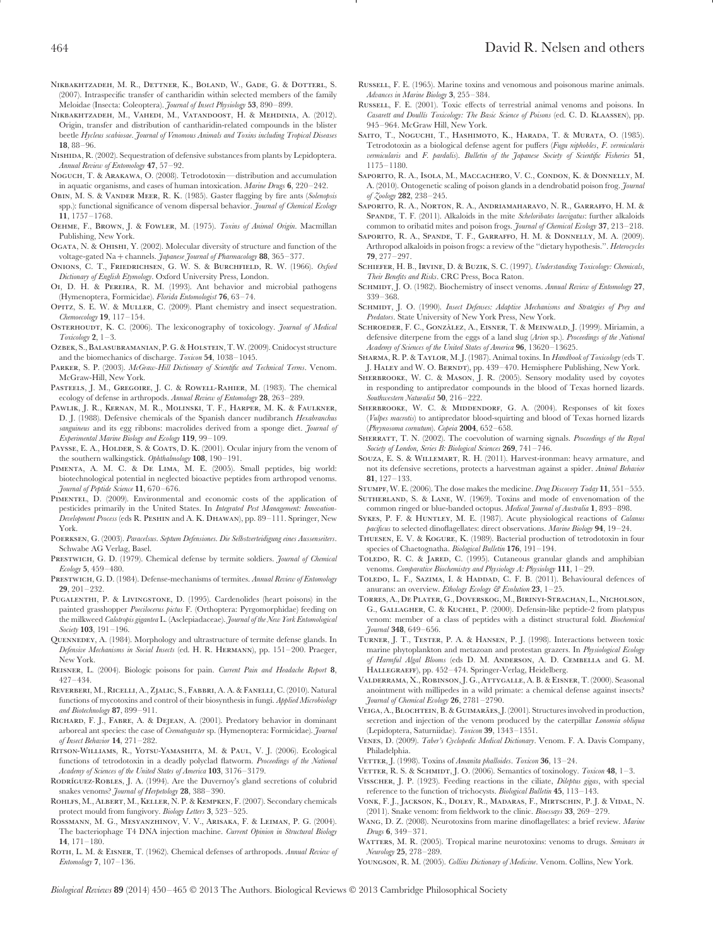- Nikbakhtzadeh, M. R., Dettner, K., Boland, W., Gade, G. & Dotterl, S. (2007). Intraspecific transfer of cantharidin within selected members of the family Meloidae (Insecta: Coleoptera). *Journal of Insect Physiology* **53**, 890–899.
- Nikbakhtzadeh, M., Vahedi, M., Vatandoost, H. & Mehdinia, A. (2012). Origin, transfer and distribution of cantharidin-related compounds in the blister beetle *Hycleus scabiosae*. *Journal of Venomous Animals and Toxins including Tropical Diseases* **18**, 88–96.
- Nishida, R. (2002). Sequestration of defensive substances from plants by Lepidoptera. *Annual Review of Entomology* **47**, 57–92.
- Noguch, T. & Arakawa, O. (2008). Tetrodotoxin—distribution and accumulation in aquatic organisms, and cases of human intoxication. *Marine Drugs* **6**, 220–242.
- Obin, M. S. & Vander Meer, R. K. (1985). Gaster flagging by fire ants (*Solenopsis* spp.): functional significance of venom dispersal behavior. *Journal of Chemical Ecology* **11**, 1757–1768.
- Oehme, F., Brown, J. & Fowler, M. (1975). *Toxins of Animal Origin*. Macmillan Publishing, New York.
- Ogata, N. & Ohishi, Y. (2002). Molecular diversity of structure and function of the voltage-gated Na + channels. *Japanese Journal of Pharmacology* **88**, 365–377.
- Onions, C. T., Friedrichsen, G. W. S. & Burchfield, R. W. (1966). *Oxford Dictionary of English Etymology*. Oxford University Press, London.
- Oi, D. H. & Pereira, R. M. (1993). Ant behavior and microbial pathogens (Hymenoptera, Formicidae). *Florida Entomologist* **76**, 63–74.
- OPITZ, S. E. W. & MULLER, C. (2009). Plant chemistry and insect sequestration. *Chemoecology* **19**, 117–154.
- OSTERHOUDT, K. C. (2006). The lexiconography of toxicology. *Journal of Medical Toxicology* **2**, 1–3.
- Ozbek, S., Balasubramanian, P. G. & Holstein, T. W. (2009). Cnidocyst structure and the biomechanics of discharge. *Toxicon* **54**, 1038–1045.
- Parker, S. P. (2003). *McGraw-Hill Dictionary of Scientific and Technical Terms*. Venom. McGraw-Hill, New York.
- PASTEELS, J. M., GREGOIRE, J. C. & ROWELL-RAHIER, M. (1983). The chemical ecology of defense in arthropods. *Annual Review of Entomology* **28**, 263–289.
- PAWLIK, J. R., KERNAN, M. R., MOLINSKI, T. F., HARPER, M. K. & FAULKNER, D. J. (1988). Defensive chemicals of the Spanish dancer nudibranch *Hexabranchus sanguineus* and its egg ribbons: macrolides derived from a sponge diet. *Journal of Experimental Marine Biology and Ecology* **119**, 99–109.
- PAYSSE, E. A., HOLDER, S. & COATS, D. K. (2001). Ocular injury from the venom of the southern walkingstick. *Ophthalmology* **108**, 190–191.
- Pimenta, A. M. C. & De Lima, M. E. (2005). Small peptides, big world: biotechnological potential in neglected bioactive peptides from arthropod venoms. *Journal of Peptide Science* **11**, 670–676.
- PIMENTEL, D. (2009). Environmental and economic costs of the application of pesticides primarily in the United States. In *Integrated Pest Management: Innovation-Development Process* (eds R. Peshin and A. K. Dhawan), pp. 89–111. Springer, New York.
- Poerksen, G. (2003). *Paracelsus. Septum Defensiones. Die Selbstverteidigung eines Aussenseiters*. Schwabe AG Verlag, Basel.
- Prestwich, G. D. (1979). Chemical defense by termite soldiers. *Journal of Chemical Ecology* **5**, 459–480.
- Prestwich, G. D. (1984). Defense-mechanisms of termites. *Annual Review of Entomology* **29**, 201–232.
- PUGALENTHI, P. & LIVINGSTONE, D. (1995). Cardenolides (heart poisons) in the painted grasshopper *Poecilocerus pictus* F. (Orthoptera: Pyrgomorphidae) feeding on the milkweed *Calotropis gigantea* L. (Asclepiadaceae). *Journal of the New York Entomological Society* **103**, 191–196.
- Quennedey, A. (1984). Morphology and ultrastructure of termite defense glands. In *Defensive Mechanisms in Social Insects* (ed. H. R. Hermann), pp. 151–200. Praeger, New York.
- Reisner, L. (2004). Biologic poisons for pain. *Current Pain and Headache Report* **8**, 427–434.
- Reverberi, M., Ricelli, A., Zjalic, S., Fabbri, A. A. & Fanelli, C. (2010). Natural functions of mycotoxins and control of their biosynthesis in fungi. *Applied Microbiology and Biotechnology* **87**, 899–911.
- Richard, F. J., Fabre, A. & Dejean, A. (2001). Predatory behavior in dominant arboreal ant species: the case of *Crematogaster* sp. (Hymenoptera: Formicidae). *Journal of Insect Behavior* **14**, 271–282.
- Ritson-Williams, R., Yotsu-Yamashita, M. & Paul, V. J. (2006). Ecological functions of tetrodotoxin in a deadly polyclad flatworm. *Proceedings of the National Academy of Sciences of the United States of America* **103**, 3176–3179.
- RODRÍGUEZ-ROBLES, J. A. (1994). Are the Duvernoy's gland secretions of colubrid snakes venoms? *Journal of Herpetology* **28**, 388–390.
- Rohlfs, M., Albert, M., Keller, N. P. & Kempken, F. (2007). Secondary chemicals protect mould from fungivory. *Biology Letters* **3**, 523–525.
- Rossmann, M. G., Mesyanzhinov, V. V., Arisaka, F. & Leiman, P. G. (2004). The bacteriophage T4 DNA injection machine. *Current Opinion in Structural Biology* **14**, 171–180.
- ROTH, L. M. & EISNER, T. (1962). Chemical defenses of arthropods. Annual Review of *Entomology* **7**, 107–136.
- Russell, F. E. (1965). Marine toxins and venomous and poisonous marine animals. *Advances in Marine Biology* **3**, 255–384.
- Russell, F. E. (2001). Toxic effects of terrestrial animal venoms and poisons. In *Casarett and Doullís Toxicology: The Basic Science of Poisons* (ed. C. D. Klaassen), pp. 945–964. McGraw Hill, New York.
- SAITO, T., NOGUCHI, T., HASHIMOTO, K., HARADA, T. & MURATA, O. (1985). Tetrodotoxin as a biological defense agent for puffers (*Fugu niphobles*, *F. vermicularis vermicularis* and *F. pardalis*). *Bulletin of the Japanese Society of Scientific Fisheries* **51**, 1175–1180.
- Saporito, R. A., Isola, M., Maccachero, V. C., Condon, K. & Donnelly, M. A. (2010). Ontogenetic scaling of poison glands in a dendrobatid poison frog. *Journal of Zoology* **282**, 238–245.
- Saporito, R. A., Norton, R. A., Andriamaharavo, N. R., Garraffo, H. M. & Spande, T. F. (2011). Alkaloids in the mite *Scheloribates laevigatus*: further alkaloids common to oribatid mites and poison frogs. *Journal of Chemical Ecology* **37**, 213–218.
- Saporito, R. A., Spande, T. F., Garraffo, H. M. & Donnelly, M. A. (2009). Arthropod alkaloids in poison frogs: a review of the ''dietary hypothesis.''. *Heterocycles* **79**, 277–297.
- Schiefer, H. B., Irvine, D. & Buzik, S. C. (1997). *Understanding Toxicology: Chemicals, Their Benefits and Risks*. CRC Press, Boca Raton.
- SCHMIDT, J. O. (1982). Biochemistry of insect venoms. Annual Review of Entomology 27 339–368.
- SCHMIDT, J. O. (1990). *Insect Defenses: Adaptive Mechanisms and Strategies of Prey and Predators*. State University of New York Press, New York.
- SCHROEDER, F. C., GONZÀLEZ, A., EISNER, T. & MEINWALD, J. (1999). Miriamin, a defensive diterpene from the eggs of a land slug (*Arion* sp.). *Proceedings of the National Academy of Sciences of the United States of America* **96**, 13620–13625.
- Sharma, R. P. & Taylor, M. J. (1987). Animal toxins. In *Handbook of Toxicology* (eds T. J. HALEY and W. O. BERNDT), pp. 439-470. Hemisphere Publishing, New York.
- SHERBROOKE, W. C. & MASON, J. R. (2005). Sensory modality used by coyotes in responding to antipredator compounds in the blood of Texas horned lizards. *Southwestern Naturalist* **50**, 216–222.
- SHERBROOKE, W. C. & MIDDENDORF, G. A. (2004). Responses of kit foxes (*Vulpes macrotis*) to antipredator blood-squirting and blood of Texas horned lizards (*Phrynosoma cornutum*). *Copeia* **2004**, 652–658.
- SHERRATT, T. N. (2002). The coevolution of warning signals. *Proceedings of the Royal Society of London, Series B: Biological Sciences* **269**, 741–746.
- Souza, E. S. & Willemart, R. H. (2011). Harvest-ironman: heavy armature, and not its defensive secretions, protects a harvestman against a spider. *Animal Behavior* **81**, 127–133.
- Stumpf, W. E. (2006). The dose makes the medicine. *Drug Discovery Today* **11**, 551–555. SUTHERLAND, S. & LANE, W. (1969). Toxins and mode of envenomation of the
- common ringed or blue-banded octopus. *Medical Journal of Australia* **1**, 893–898. Sykes, P. F. & Huntley, M. E. (1987). Acute physiological reactions of *Calanus*
- *pacificus* to selected dinoflagellates: direct observations. *Marine Biology* **94**, 19–24. Thuesen, E. V. & Kogure, K. (1989). Bacterial production of tetrodotoxin in four
- species of Chaetognatha. *Biological Bulletin* **176**, 191–194. TOLEDO, R. C. & JARED, C. (1995). Cutaneous granular glands and amphibian
- venoms. *Comparative Biochemistry and Physiology A: Physiology* **111**, 1–29. TOLEDO, L. F., SAZIMA, I. & HADDAD, C. F. B. (2011). Behavioural defences of
- anurans: an overview. *Ethology Ecology & Evolution* **23**, 1–25. Torres, A., De Plater, G., Doverskog, M., Birinyi-Strachan, L., Nicholson, G., Gallagher, C. & Kuchel, P. (2000). Defensin-like peptide-2 from platypus venom: member of a class of peptides with a distinct structural fold. *Biochemical Journal* **348**, 649–656.
- TURNER, J. T., TESTER, P. A. & HANSEN, P. J. (1998). Interactions between toxic marine phytoplankton and metazoan and protestan grazers. In *Physiological Ecology* of Harmful Algal Blooms (eds D. M. ANDERSON, A. D. CEMBELLA and G. M. Hallegraeff), pp. 452–474. Springer-Verlag, Heidelberg.
- Valderrama, X., Robinson, J. G., Attygalle, A. B. & Eisner, T. (2000). Seasonal anointment with millipedes in a wild primate: a chemical defense against insects? *Journal of Chemical Ecology* **26**, 2781–2790.
- VEIGA, A., BLOCHTEIN, B. & GUIMARÃES, J. (2001). Structures involved in production, secretion and injection of the venom produced by the caterpillar *Lonomia obliqua* (Lepidoptera, Saturniidae). *Toxicon* **39**, 1343–1351.
- Venes, D. (2009). *Taber's Cyclopedic Medical Dictionary*. Venom. F. A. Davis Company, Philadelphia.
- Vetter, J. (1998). Toxins of *Amanita phalloides*. *Toxicon* **36**, 13–24.
- VETTER, R. S. & SCHMIDT, J. O. (2006). Semantics of toxinology. *Toxicon* 48, 1-3.
- Visscher, J. P. (1923). Feeding reactions in the ciliate, *Dileptus gigas*, with special reference to the function of trichocysts. *Biological Bulletin* **45**, 113–143.
- Vonk, F. J., Jackson, K., Doley, R., Madaras, F., Mirtschin, P. J. & Vidal, N. (2011). Snake venom: from fieldwork to the clinic. *Bioessays* **33**, 269–279.
- Wang, D. Z. (2008). Neurotoxins from marine dinoflagellates: a brief review. *Marine Drugs* **6**, 349–371.
- WATTERS, M. R. (2005). Tropical marine neurotoxins: venoms to drugs. *Seminars in Neurology* **25**, 278–289.
- Youngson, R. M. (2005). *Collins Dictionary of Medicine*. Venom. Collins, New York.